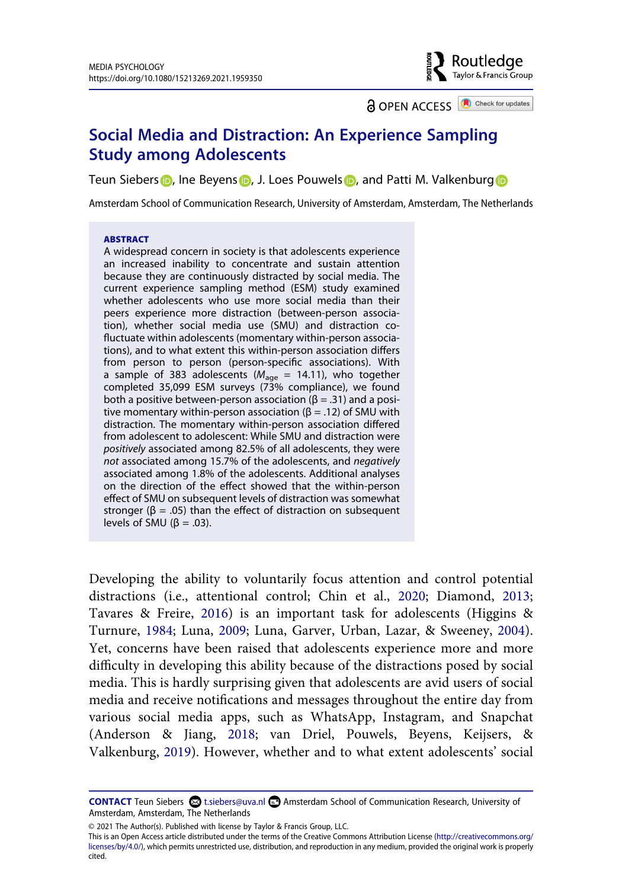Routledge Taylor & Francis Group

**a** OPEN ACCESS **a** Check for updates

# **Social Media and Distraction: An Experience Sampling Study among Adolescents**

Teun Siebers **D**[,](http://orcid.org/0000-0002-9586-392X) Ine Beyens **D**, J. Loes Pouwels **D**, and Patti M. Valkenbur[g](http://orcid.org/0000-0003-0477-8429) **D** 

Amsterdam School of Communication Research, University of Amsterdam, Amsterdam, The Netherlands

#### **ABSTRACT**

A widespread concern in society is that adolescents experience an increased inability to concentrate and sustain attention because they are continuously distracted by social media. The current experience sampling method (ESM) study examined whether adolescents who use more social media than their peers experience more distraction (between-person association), whether social media use (SMU) and distraction cofluctuate within adolescents (momentary within-person associations), and to what extent this within-person association differs from person to person (person-specific associations). With a sample of 383 adolescents (*M*age = 14.11), who together completed 35,099 ESM surveys (73% compliance), we found both a positive between-person association ( $\beta$  = .31) and a positive momentary within-person association ( $β = .12$ ) of SMU with distraction. The momentary within-person association differed from adolescent to adolescent: While SMU and distraction were *positively* associated among 82.5% of all adolescents, they were *not* associated among 15.7% of the adolescents, and *negatively*  associated among 1.8% of the adolescents. Additional analyses on the direction of the effect showed that the within-person effect of SMU on subsequent levels of distraction was somewhat stronger ( $\beta$  = .05) than the effect of distraction on subsequent levels of SMU ( $β = .03$ ).

<span id="page-0-3"></span><span id="page-0-2"></span><span id="page-0-1"></span>Developing the ability to voluntarily focus attention and control potential distractions (i.e., attentional control; Chin et al., [2020;](#page-20-0) Diamond, [2013](#page-20-1); Tavares & Freire, [2016\)](#page-23-0) is an important task for adolescents (Higgins & Turnure, [1984;](#page-20-2) Luna, [2009](#page-21-0); Luna, Garver, Urban, Lazar, & Sweeney, [2004](#page-21-1)). Yet, concerns have been raised that adolescents experience more and more difficulty in developing this ability because of the distractions posed by social media. This is hardly surprising given that adolescents are avid users of social media and receive notifications and messages throughout the entire day from various social media apps, such as WhatsApp, Instagram, and Snapchat (Anderson & Jiang, [2018;](#page-19-0) van Driel, Pouwels, Beyens, Keijsers, & Valkenburg, [2019\)](#page-23-1). However, whether and to what extent adolescents' social

<span id="page-0-4"></span><span id="page-0-0"></span>**CONTACT** Teun Siebers  $\otimes$  t.siebers@uva.nl **and Amsterdam School of Communication Research, University of** Amsterdam, Amsterdam, The Netherlands

<sup>© 2021</sup> The Author(s). Published with license by Taylor & Francis Group, LLC.

This is an Open Access article distributed under the terms of the Creative Commons Attribution License (http://creativecommons.org/ licenses/by/4.0/), which permits unrestricted use, distribution, and reproduction in any medium, provided the original work is properly cited.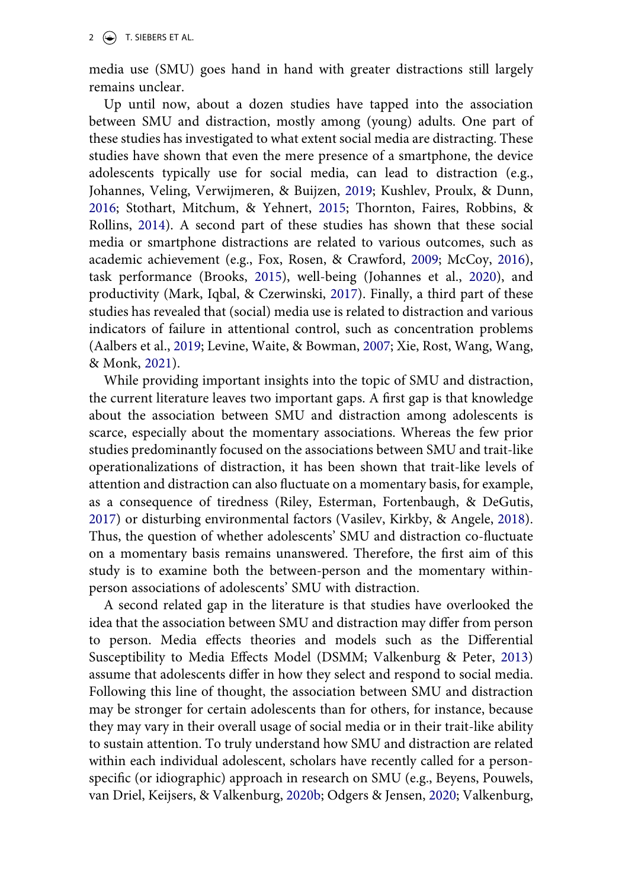2  $\left(\frac{1}{2}\right)$  T. SIEBERS ET AL.

media use (SMU) goes hand in hand with greater distractions still largely remains unclear.

<span id="page-1-8"></span><span id="page-1-7"></span><span id="page-1-4"></span>Up until now, about a dozen studies have tapped into the association between SMU and distraction, mostly among (young) adults. One part of these studies has investigated to what extent social media are distracting. These studies have shown that even the mere presence of a smartphone, the device adolescents typically use for social media, can lead to distraction (e.g., Johannes, Veling, Verwijmeren, & Buijzen, [2019;](#page-20-3) Kushlev, Proulx, & Dunn, [2016](#page-21-2); Stothart, Mitchum, & Yehnert, [2015](#page-22-0); Thornton, Faires, Robbins, & Rollins, [2014\)](#page-23-2). A second part of these studies has shown that these social media or smartphone distractions are related to various outcomes, such as academic achievement (e.g., Fox, Rosen, & Crawford, [2009](#page-20-4); McCoy, [2016](#page-21-3)), task performance (Brooks, [2015](#page-20-5)), well-being (Johannes et al., [2020](#page-20-6)), and productivity (Mark, Iqbal, & Czerwinski, [2017\)](#page-21-4). Finally, a third part of these studies has revealed that (social) media use is related to distraction and various indicators of failure in attentional control, such as concentration problems (Aalbers et al., [2019;](#page-19-1) Levine, Waite, & Bowman, [2007](#page-21-5); Xie, Rost, Wang, Wang, & Monk, [2021](#page-23-3)).

<span id="page-1-11"></span><span id="page-1-5"></span><span id="page-1-3"></span><span id="page-1-2"></span><span id="page-1-0"></span>While providing important insights into the topic of SMU and distraction, the current literature leaves two important gaps. A first gap is that knowledge about the association between SMU and distraction among adolescents is scarce, especially about the momentary associations. Whereas the few prior studies predominantly focused on the associations between SMU and trait-like operationalizations of distraction, it has been shown that trait-like levels of attention and distraction can also fluctuate on a momentary basis, for example, as a consequence of tiredness (Riley, Esterman, Fortenbaugh, & DeGutis, [2017](#page-22-1)) or disturbing environmental factors (Vasilev, Kirkby, & Angele, [2018](#page-23-4)). Thus, the question of whether adolescents' SMU and distraction co-fluctuate on a momentary basis remains unanswered. Therefore, the first aim of this study is to examine both the between-person and the momentary withinperson associations of adolescents' SMU with distraction.

<span id="page-1-10"></span><span id="page-1-9"></span><span id="page-1-6"></span><span id="page-1-1"></span>A second related gap in the literature is that studies have overlooked the idea that the association between SMU and distraction may differ from person to person. Media effects theories and models such as the Differential Susceptibility to Media Effects Model (DSMM; Valkenburg & Peter, [2013\)](#page-23-5) assume that adolescents differ in how they select and respond to social media. Following this line of thought, the association between SMU and distraction may be stronger for certain adolescents than for others, for instance, because they may vary in their overall usage of social media or in their trait-like ability to sustain attention. To truly understand how SMU and distraction are related within each individual adolescent, scholars have recently called for a personspecific (or idiographic) approach in research on SMU (e.g., Beyens, Pouwels, van Driel, Keijsers, & Valkenburg, [2020b;](#page-19-2) Odgers & Jensen, [2020;](#page-21-6) Valkenburg,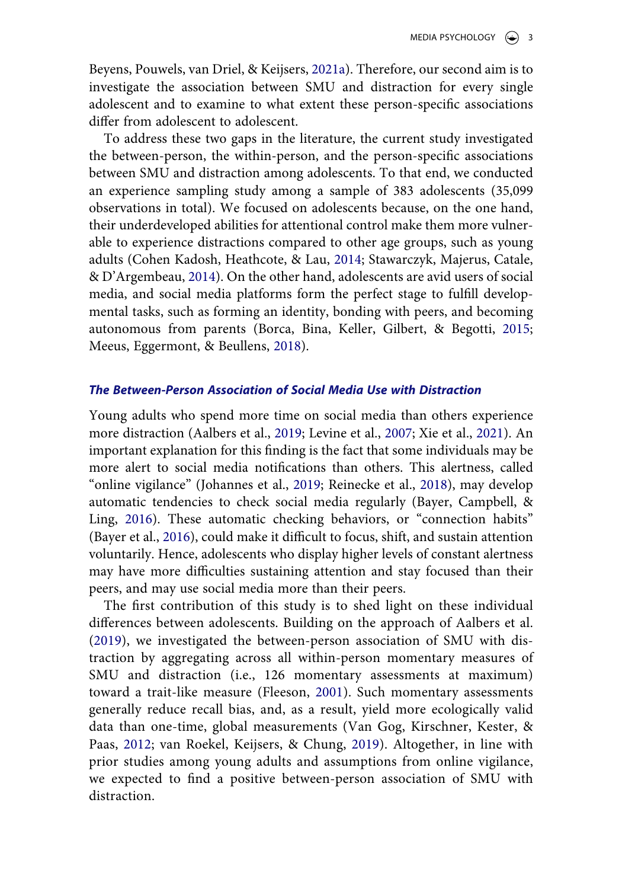<span id="page-2-7"></span>Beyens, Pouwels, van Driel, & Keijsers, [2021a\)](#page-23-6). Therefore, our second aim is to investigate the association between SMU and distraction for every single adolescent and to examine to what extent these person-specific associations differ from adolescent to adolescent.

<span id="page-2-2"></span>To address these two gaps in the literature, the current study investigated the between-person, the within-person, and the person-specific associations between SMU and distraction among adolescents. To that end, we conducted an experience sampling study among a sample of 383 adolescents (35,099 observations in total). We focused on adolescents because, on the one hand, their underdeveloped abilities for attentional control make them more vulnerable to experience distractions compared to other age groups, such as young adults (Cohen Kadosh, Heathcote, & Lau, [2014;](#page-20-7) Stawarczyk, Majerus, Catale, & D'Argembeau, [2014\)](#page-22-2). On the other hand, adolescents are avid users of social media, and social media platforms form the perfect stage to fulfill developmental tasks, such as forming an identity, bonding with peers, and becoming autonomous from parents (Borca, Bina, Keller, Gilbert, & Begotti, [2015](#page-20-8); Meeus, Eggermont, & Beullens, [2018\)](#page-21-7).

### <span id="page-2-6"></span><span id="page-2-4"></span><span id="page-2-1"></span>*The Between-Person Association of Social Media Use with Distraction*

<span id="page-2-5"></span>Young adults who spend more time on social media than others experience more distraction (Aalbers et al., [2019;](#page-19-1) Levine et al., [2007;](#page-21-5) Xie et al., [2021](#page-23-3)). An important explanation for this finding is the fact that some individuals may be more alert to social media notifications than others. This alertness, called "online vigilance" (Johannes et al., [2019;](#page-20-3) Reinecke et al., [2018](#page-22-3)), may develop automatic tendencies to check social media regularly (Bayer, Campbell, & Ling, [2016](#page-19-3)). These automatic checking behaviors, or "connection habits" (Bayer et al., [2016](#page-19-3)), could make it difficult to focus, shift, and sustain attention voluntarily. Hence, adolescents who display higher levels of constant alertness may have more difficulties sustaining attention and stay focused than their peers, and may use social media more than their peers.

<span id="page-2-8"></span><span id="page-2-3"></span><span id="page-2-0"></span>The first contribution of this study is to shed light on these individual differences between adolescents. Building on the approach of Aalbers et al. ([2019\)](#page-19-1), we investigated the between-person association of SMU with distraction by aggregating across all within-person momentary measures of SMU and distraction (i.e., 126 momentary assessments at maximum) toward a trait-like measure (Fleeson, [2001](#page-20-9)). Such momentary assessments generally reduce recall bias, and, as a result, yield more ecologically valid data than one-time, global measurements (Van Gog, Kirschner, Kester, & Paas, [2012;](#page-23-7) van Roekel, Keijsers, & Chung, [2019](#page-23-8)). Altogether, in line with prior studies among young adults and assumptions from online vigilance, we expected to find a positive between-person association of SMU with distraction.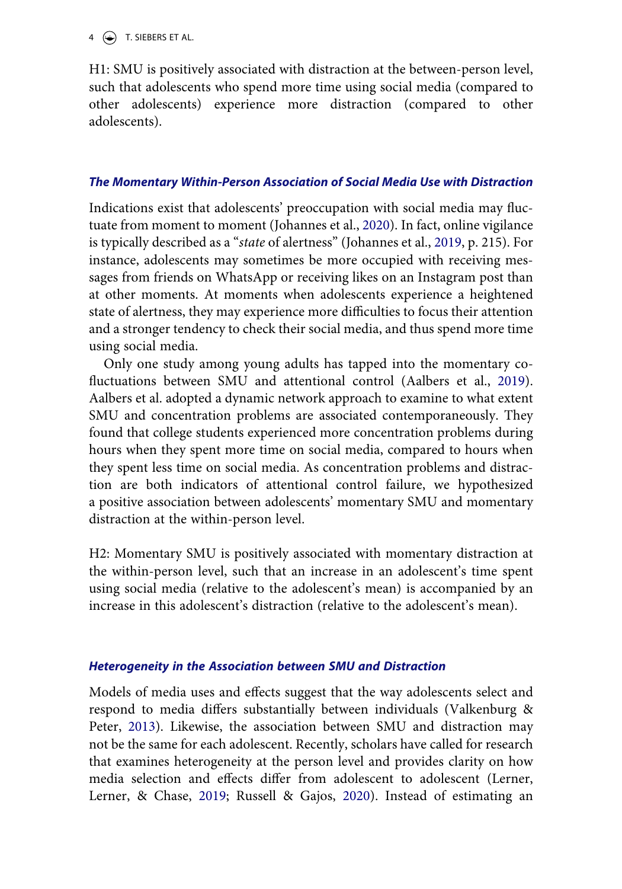$4 \quad \circledast$  T. SIEBERS ET AL.

H1: SMU is positively associated with distraction at the between-person level, such that adolescents who spend more time using social media (compared to other adolescents) experience more distraction (compared to other adolescents).

# *The Momentary Within-Person Association of Social Media Use with Distraction*

Indications exist that adolescents' preoccupation with social media may fluctuate from moment to moment (Johannes et al., [2020\)](#page-20-6). In fact, online vigilance is typically described as a "*state* of alertness" (Johannes et al., [2019,](#page-20-3) p. 215). For instance, adolescents may sometimes be more occupied with receiving messages from friends on WhatsApp or receiving likes on an Instagram post than at other moments. At moments when adolescents experience a heightened state of alertness, they may experience more difficulties to focus their attention and a stronger tendency to check their social media, and thus spend more time using social media.

Only one study among young adults has tapped into the momentary cofluctuations between SMU and attentional control (Aalbers et al., [2019](#page-19-1)). Aalbers et al. adopted a dynamic network approach to examine to what extent SMU and concentration problems are associated contemporaneously. They found that college students experienced more concentration problems during hours when they spent more time on social media, compared to hours when they spent less time on social media. As concentration problems and distraction are both indicators of attentional control failure, we hypothesized a positive association between adolescents' momentary SMU and momentary distraction at the within-person level.

H2: Momentary SMU is positively associated with momentary distraction at the within-person level, such that an increase in an adolescent's time spent using social media (relative to the adolescent's mean) is accompanied by an increase in this adolescent's distraction (relative to the adolescent's mean).

# *Heterogeneity in the Association between SMU and Distraction*

<span id="page-3-0"></span>Models of media uses and effects suggest that the way adolescents select and respond to media differs substantially between individuals (Valkenburg & Peter, [2013\)](#page-23-5). Likewise, the association between SMU and distraction may not be the same for each adolescent. Recently, scholars have called for research that examines heterogeneity at the person level and provides clarity on how media selection and effects differ from adolescent to adolescent (Lerner, Lerner, & Chase, [2019](#page-21-8); Russell & Gajos, [2020\)](#page-22-4). Instead of estimating an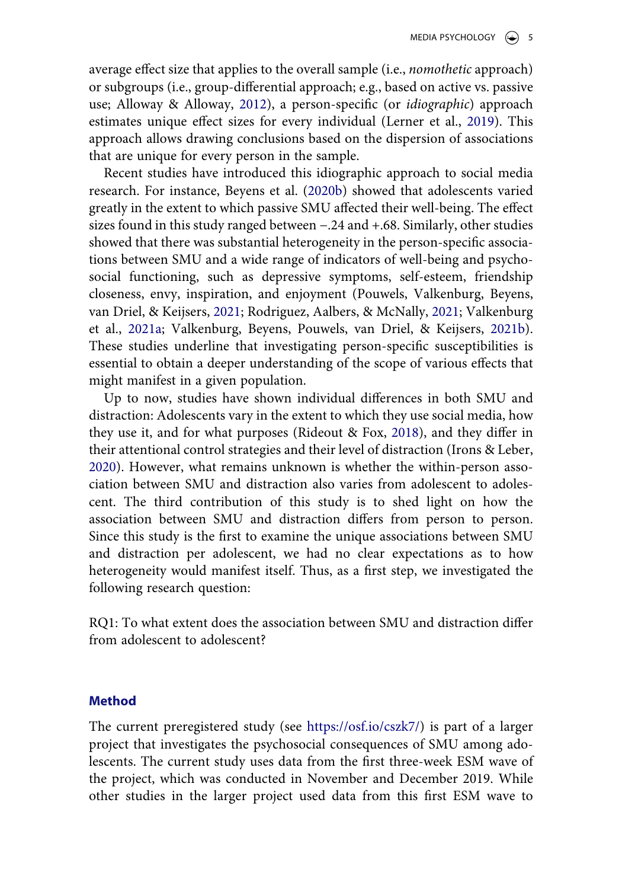<span id="page-4-0"></span>average effect size that applies to the overall sample (i.e., *nomothetic* approach) or subgroups (i.e., group-differential approach; e.g., based on active vs. passive use; Alloway & Alloway, [2012](#page-19-4)), a person-specific (or *idiographic*) approach estimates unique effect sizes for every individual (Lerner et al., [2019](#page-21-8)). This approach allows drawing conclusions based on the dispersion of associations that are unique for every person in the sample.

Recent studies have introduced this idiographic approach to social media research. For instance, Beyens et al. [\(2020b](#page-19-2)) showed that adolescents varied greatly in the extent to which passive SMU affected their well-being. The effect sizes found in this study ranged between −.24 and +.68. Similarly, other studies showed that there was substantial heterogeneity in the person-specific associations between SMU and a wide range of indicators of well-being and psychosocial functioning, such as depressive symptoms, self-esteem, friendship closeness, envy, inspiration, and enjoyment (Pouwels, Valkenburg, Beyens, van Driel, & Keijsers, [2021](#page-21-9); Rodriguez, Aalbers, & McNally, [2021](#page-22-5); Valkenburg et al., [2021a;](#page-23-6) Valkenburg, Beyens, Pouwels, van Driel, & Keijsers, [2021b](#page-23-9)). These studies underline that investigating person-specific susceptibilities is essential to obtain a deeper understanding of the scope of various effects that might manifest in a given population.

<span id="page-4-4"></span><span id="page-4-3"></span><span id="page-4-2"></span><span id="page-4-1"></span>Up to now, studies have shown individual differences in both SMU and distraction: Adolescents vary in the extent to which they use social media, how they use it, and for what purposes (Rideout & Fox, [2018](#page-22-6)), and they differ in their attentional control strategies and their level of distraction (Irons & Leber, [2020](#page-20-10)). However, what remains unknown is whether the within-person association between SMU and distraction also varies from adolescent to adolescent. The third contribution of this study is to shed light on how the association between SMU and distraction differs from person to person. Since this study is the first to examine the unique associations between SMU and distraction per adolescent, we had no clear expectations as to how heterogeneity would manifest itself. Thus, as a first step, we investigated the following research question:

RQ1: To what extent does the association between SMU and distraction differ from adolescent to adolescent?

### **Method**

The current preregistered study (see <https://osf.io/cszk7/>) is part of a larger project that investigates the psychosocial consequences of SMU among adolescents. The current study uses data from the first three-week ESM wave of the project, which was conducted in November and December 2019. While other studies in the larger project used data from this first ESM wave to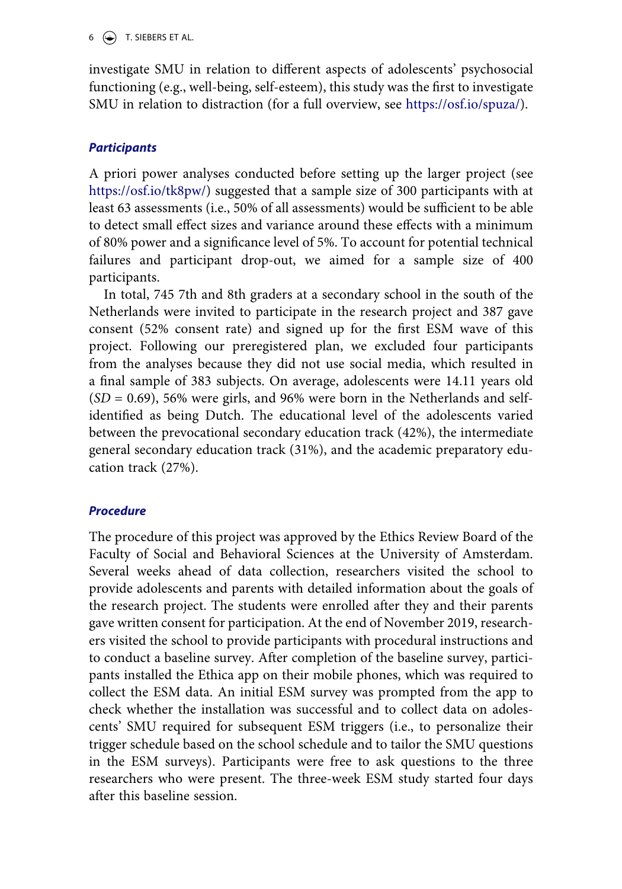investigate SMU in relation to different aspects of adolescents' psychosocial functioning (e.g., well-being, self-esteem), this study was the first to investigate SMU in relation to distraction (for a full overview, see <https://osf.io/spuza/>).

# *Participants*

A priori power analyses conducted before setting up the larger project (see [https://osf.io/tk8pw/\)](https://osf.io/tk8pw/) suggested that a sample size of 300 participants with at least 63 assessments (i.e., 50% of all assessments) would be sufficient to be able to detect small effect sizes and variance around these effects with a minimum of 80% power and a significance level of 5%. To account for potential technical failures and participant drop-out, we aimed for a sample size of 400 participants.

In total, 745 7th and 8th graders at a secondary school in the south of the Netherlands were invited to participate in the research project and 387 gave consent (52% consent rate) and signed up for the first ESM wave of this project. Following our preregistered plan, we excluded four participants from the analyses because they did not use social media, which resulted in a final sample of 383 subjects. On average, adolescents were 14.11 years old  $(SD = 0.69)$ , 56% were girls, and 96% were born in the Netherlands and selfidentified as being Dutch. The educational level of the adolescents varied between the prevocational secondary education track (42%), the intermediate general secondary education track (31%), and the academic preparatory education track (27%).

# *Procedure*

The procedure of this project was approved by the Ethics Review Board of the Faculty of Social and Behavioral Sciences at the University of Amsterdam. Several weeks ahead of data collection, researchers visited the school to provide adolescents and parents with detailed information about the goals of the research project. The students were enrolled after they and their parents gave written consent for participation. At the end of November 2019, researchers visited the school to provide participants with procedural instructions and to conduct a baseline survey. After completion of the baseline survey, participants installed the Ethica app on their mobile phones, which was required to collect the ESM data. An initial ESM survey was prompted from the app to check whether the installation was successful and to collect data on adolescents' SMU required for subsequent ESM triggers (i.e., to personalize their trigger schedule based on the school schedule and to tailor the SMU questions in the ESM surveys). Participants were free to ask questions to the three researchers who were present. The three-week ESM study started four days after this baseline session.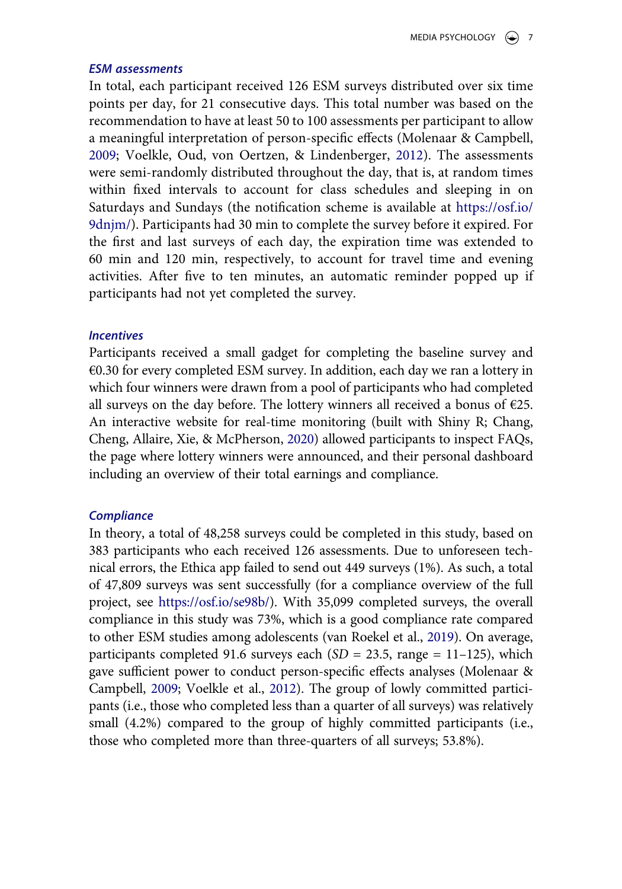### *ESM assessments*

In total, each participant received 126 ESM surveys distributed over six time points per day, for 21 consecutive days. This total number was based on the recommendation to have at least 50 to 100 assessments per participant to allow a meaningful interpretation of person-specific effects (Molenaar & Campbell, [2009](#page-21-10); Voelkle, Oud, von Oertzen, & Lindenberger, [2012\)](#page-23-10). The assessments were semi-randomly distributed throughout the day, that is, at random times within fixed intervals to account for class schedules and sleeping in on Saturdays and Sundays (the notification scheme is available at [https://osf.io/](https://osf.io/9dnjm/) [9dnjm/](https://osf.io/9dnjm/)). Participants had 30 min to complete the survey before it expired. For the first and last surveys of each day, the expiration time was extended to 60 min and 120 min, respectively, to account for travel time and evening activities. After five to ten minutes, an automatic reminder popped up if participants had not yet completed the survey.

### *Incentives*

<span id="page-6-0"></span>Participants received a small gadget for completing the baseline survey and €0.30 for every completed ESM survey. In addition, each day we ran a lottery in which four winners were drawn from a pool of participants who had completed all surveys on the day before. The lottery winners all received a bonus of  $E25$ . An interactive website for real-time monitoring (built with Shiny R; Chang, Cheng, Allaire, Xie, & McPherson, [2020](#page-20-11)) allowed participants to inspect FAQs, the page where lottery winners were announced, and their personal dashboard including an overview of their total earnings and compliance.

# *Compliance*

<span id="page-6-1"></span>In theory, a total of 48,258 surveys could be completed in this study, based on 383 participants who each received 126 assessments. Due to unforeseen technical errors, the Ethica app failed to send out 449 surveys (1%). As such, a total of 47,809 surveys was sent successfully (for a compliance overview of the full project, see <https://osf.io/se98b/>). With 35,099 completed surveys, the overall compliance in this study was 73%, which is a good compliance rate compared to other ESM studies among adolescents (van Roekel et al., [2019\)](#page-23-8). On average, participants completed 91.6 surveys each (*SD* = 23.5, range = 11–125), which gave sufficient power to conduct person-specific effects analyses (Molenaar & Campbell, [2009](#page-21-10); Voelkle et al., [2012\)](#page-23-10). The group of lowly committed participants (i.e., those who completed less than a quarter of all surveys) was relatively small (4.2%) compared to the group of highly committed participants (i.e., those who completed more than three-quarters of all surveys; 53.8%).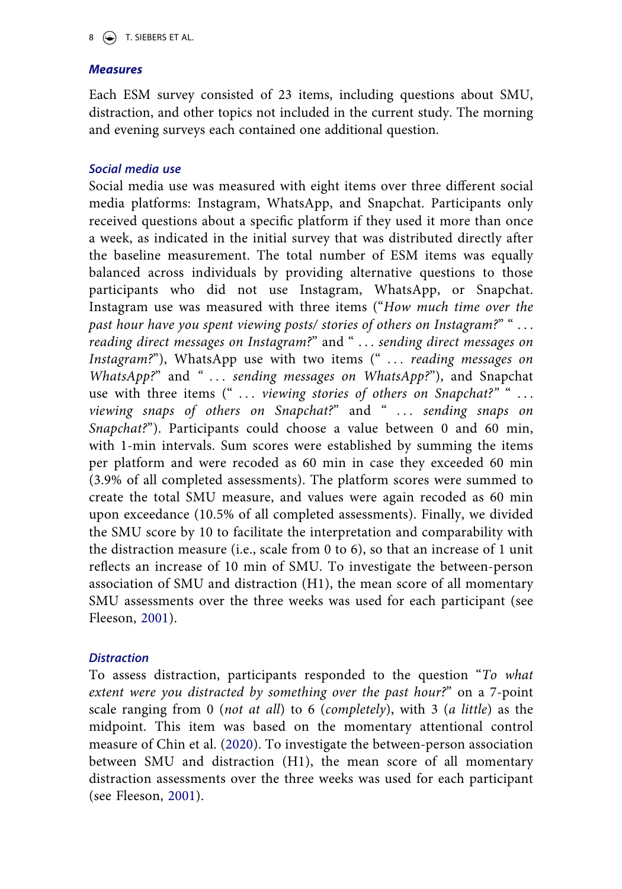# *Measures*

Each ESM survey consisted of 23 items, including questions about SMU, distraction, and other topics not included in the current study. The morning and evening surveys each contained one additional question.

# *Social media use*

Social media use was measured with eight items over three different social media platforms: Instagram, WhatsApp, and Snapchat. Participants only received questions about a specific platform if they used it more than once a week, as indicated in the initial survey that was distributed directly after the baseline measurement. The total number of ESM items was equally balanced across individuals by providing alternative questions to those participants who did not use Instagram, WhatsApp, or Snapchat. Instagram use was measured with three items ("*How much time over the past hour have you spent viewing posts/ stories of others on Instagram?*" " . . . *reading direct messages on Instagram?*" and " . . . *sending direct messages on Instagram?*"), WhatsApp use with two items (" *. . . reading messages on WhatsApp?*" and *" . . . sending messages on WhatsApp?*"), and Snapchat use with three items (" ... viewing stories of others on Snapchat?"<sup>"</sup> ... *viewing snaps of others on Snapchat?*" and " ... sending snaps on *Snapchat?*"). Participants could choose a value between 0 and 60 min, with 1-min intervals. Sum scores were established by summing the items per platform and were recoded as 60 min in case they exceeded 60 min (3.9% of all completed assessments). The platform scores were summed to create the total SMU measure, and values were again recoded as 60 min upon exceedance (10.5% of all completed assessments). Finally, we divided the SMU score by 10 to facilitate the interpretation and comparability with the distraction measure (i.e., scale from 0 to 6), so that an increase of 1 unit reflects an increase of 10 min of SMU. To investigate the between-person association of SMU and distraction (H1), the mean score of all momentary SMU assessments over the three weeks was used for each participant (see Fleeson, [2001\)](#page-20-9).

# *Distraction*

To assess distraction, participants responded to the question "*To what extent were you distracted by something over the past hour?*" on a 7-point scale ranging from 0 (*not at all*) to 6 (*completely*), with 3 (*a little*) as the midpoint. This item was based on the momentary attentional control measure of Chin et al. ([2020](#page-20-0)). To investigate the between-person association between SMU and distraction (H1), the mean score of all momentary distraction assessments over the three weeks was used for each participant (see Fleeson, [2001\)](#page-20-9).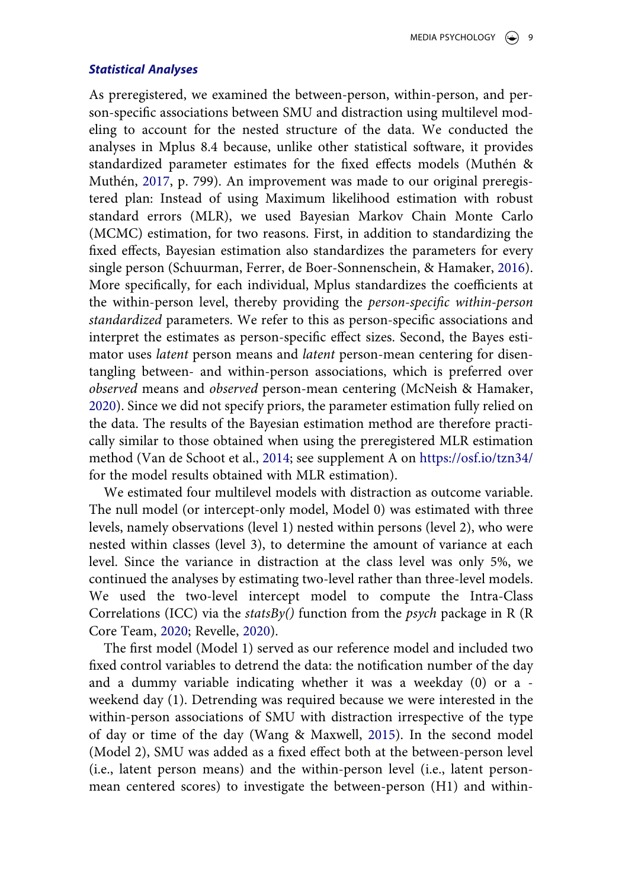#### *Statistical Analyses*

<span id="page-8-2"></span>As preregistered, we examined the between-person, within-person, and person-specific associations between SMU and distraction using multilevel modeling to account for the nested structure of the data. We conducted the analyses in Mplus 8.4 because, unlike other statistical software, it provides standardized parameter estimates for the fixed effects models (Muthén & Muthén, [2017,](#page-21-11) p. 799). An improvement was made to our original preregistered plan: Instead of using Maximum likelihood estimation with robust standard errors (MLR), we used Bayesian Markov Chain Monte Carlo (MCMC) estimation, for two reasons. First, in addition to standardizing the fixed effects, Bayesian estimation also standardizes the parameters for every single person (Schuurman, Ferrer, de Boer-Sonnenschein, & Hamaker, [2016](#page-22-7)). More specifically, for each individual, Mplus standardizes the coefficients at the within-person level, thereby providing the *person-specific within-person standardized* parameters. We refer to this as person-specific associations and interpret the estimates as person-specific effect sizes. Second, the Bayes estimator uses *latent* person means and *latent* person-mean centering for disentangling between- and within-person associations, which is preferred over *observed* means and *observed* person-mean centering (McNeish & Hamaker, [2020](#page-21-12)). Since we did not specify priors, the parameter estimation fully relied on the data. The results of the Bayesian estimation method are therefore practically similar to those obtained when using the preregistered MLR estimation method (Van de Schoot et al., [2014;](#page-23-11) see supplement A on <https://osf.io/tzn34/> for the model results obtained with MLR estimation).

<span id="page-8-3"></span><span id="page-8-0"></span>We estimated four multilevel models with distraction as outcome variable. The null model (or intercept-only model, Model 0) was estimated with three levels, namely observations (level 1) nested within persons (level 2), who were nested within classes (level 3), to determine the amount of variance at each level. Since the variance in distraction at the class level was only 5%, we continued the analyses by estimating two-level rather than three-level models. We used the two-level intercept model to compute the Intra-Class Correlations (ICC) via the *statsBy()* function from the *psych* package in R (R Core Team, [2020](#page-22-8); Revelle, [2020\)](#page-22-9).

<span id="page-8-4"></span><span id="page-8-1"></span>The first model (Model 1) served as our reference model and included two fixed control variables to detrend the data: the notification number of the day and a dummy variable indicating whether it was a weekday (0) or a weekend day (1). Detrending was required because we were interested in the within-person associations of SMU with distraction irrespective of the type of day or time of the day (Wang & Maxwell, [2015](#page-23-12)). In the second model (Model 2), SMU was added as a fixed effect both at the between-person level (i.e., latent person means) and the within-person level (i.e., latent personmean centered scores) to investigate the between-person (H1) and within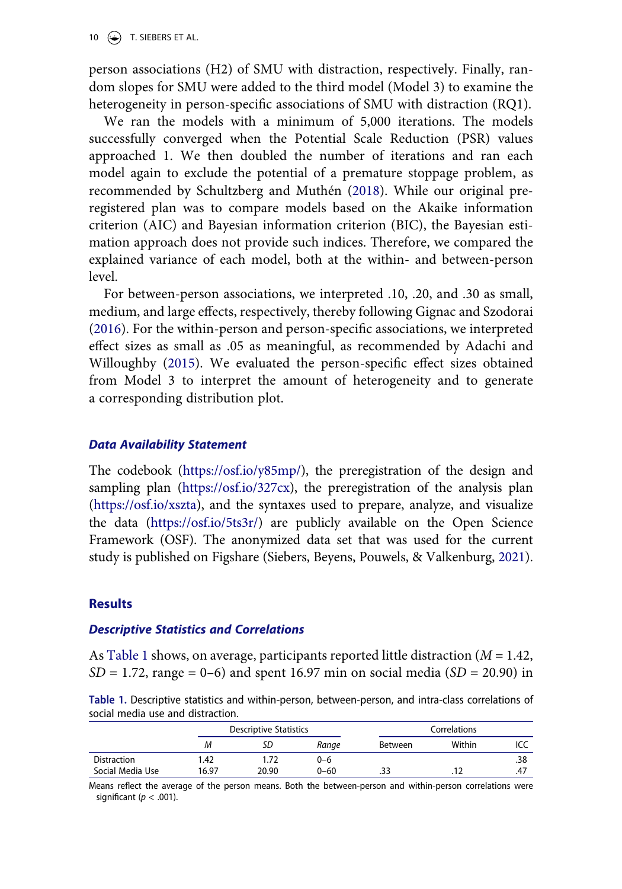10  $\left(\bigoplus\right)$  T. SIEBERS ET AL.

person associations (H2) of SMU with distraction, respectively. Finally, random slopes for SMU were added to the third model (Model 3) to examine the heterogeneity in person-specific associations of SMU with distraction (RQ1).

<span id="page-9-3"></span>We ran the models with a minimum of 5,000 iterations. The models successfully converged when the Potential Scale Reduction (PSR) values approached 1. We then doubled the number of iterations and ran each model again to exclude the potential of a premature stoppage problem, as recommended by Schultzberg and Muthén ([2018\)](#page-22-10). While our original preregistered plan was to compare models based on the Akaike information criterion (AIC) and Bayesian information criterion (BIC), the Bayesian estimation approach does not provide such indices. Therefore, we compared the explained variance of each model, both at the within- and between-person level.

<span id="page-9-2"></span><span id="page-9-1"></span>For between-person associations, we interpreted .10, .20, and .30 as small, medium, and large effects, respectively, thereby following Gignac and Szodorai ([2016](#page-20-12)). For the within-person and person-specific associations, we interpreted effect sizes as small as .05 as meaningful, as recommended by Adachi and Willoughby ([2015\)](#page-19-5). We evaluated the person-specific effect sizes obtained from Model 3 to interpret the amount of heterogeneity and to generate a corresponding distribution plot.

#### *Data Availability Statement*

The codebook [\(https://osf.io/y85mp/\)](https://osf.io/y85mp/), the preregistration of the design and sampling plan ([https://osf.io/327cx\)](https://osf.io/327cx), the preregistration of the analysis plan (<https://osf.io/xszta>), and the syntaxes used to prepare, analyze, and visualize the data [\(https://osf.io/5ts3r/](https://osf.io/5ts3r/)) are publicly available on the Open Science Framework (OSF). The anonymized data set that was used for the current study is published on Figshare (Siebers, Beyens, Pouwels, & Valkenburg, [2021\)](#page-22-11).

#### <span id="page-9-4"></span>**Results**

#### *Descriptive Statistics and Correlations*

As [Table 1](#page-9-0) shows, on average, participants reported little distraction (*M* = 1.42, *SD* = 1.72, range = 0–6) and spent 16.97 min on social media (*SD* = 20.90) in

<span id="page-9-0"></span>**Table 1.** Descriptive statistics and within-person, between-person, and intra-class correlations of social media use and distraction.

|                  |       | Descriptive Statistics |          | Correlations |        |     |
|------------------|-------|------------------------|----------|--------------|--------|-----|
|                  | М     | SD                     | Ranae    | Between      | Within |     |
| Distraction      | .42   |                        | 0-6      |              |        | .38 |
| Social Media Use | 16.97 | 20.90                  | $0 - 60$ | .33          | .12    | ،4. |

Means reflect the average of the person means. Both the between-person and within-person correlations were significant (*p* < .001).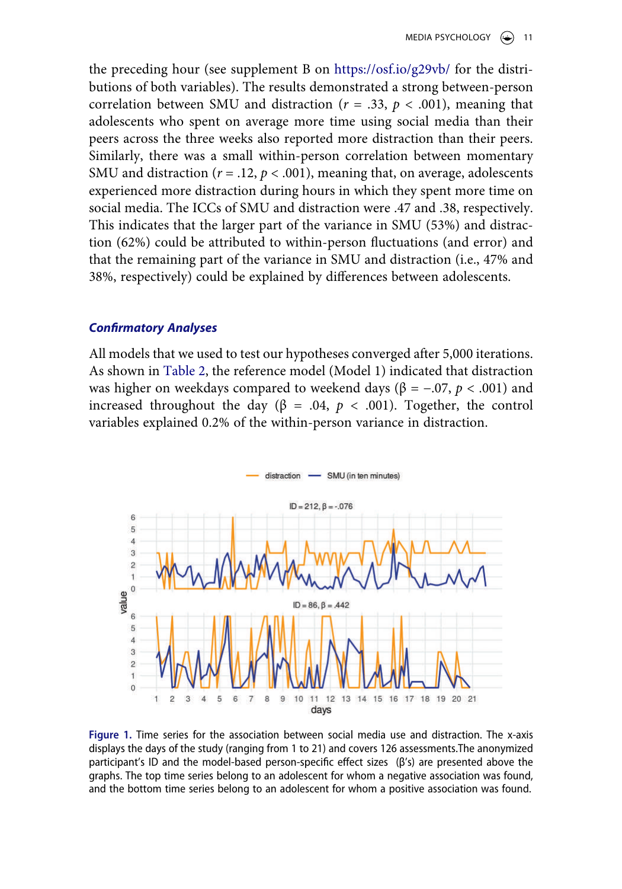the preceding hour (see supplement B on <https://osf.io/g29vb/>for the distributions of both variables). The results demonstrated a strong between-person correlation between SMU and distraction ( $r = .33$ ,  $p < .001$ ), meaning that adolescents who spent on average more time using social media than their peers across the three weeks also reported more distraction than their peers. Similarly, there was a small within-person correlation between momentary SMU and distraction ( $r = .12$ ,  $p < .001$ ), meaning that, on average, adolescents experienced more distraction during hours in which they spent more time on social media. The ICCs of SMU and distraction were .47 and .38, respectively. This indicates that the larger part of the variance in SMU (53%) and distraction (62%) could be attributed to within-person fluctuations (and error) and that the remaining part of the variance in SMU and distraction (i.e., 47% and 38%, respectively) could be explained by differences between adolescents.

### *Confirmatory Analyses*

All models that we used to test our hypotheses converged after 5,000 iterations. As shown in [Table 2](#page-11-0), the reference model (Model 1) indicated that distraction was higher on weekdays compared to weekend days ( $β = -.07, p < .001$ ) and increased throughout the day (β = .04,  $p$  < .001). Together, the control variables explained 0.2% of the within-person variance in distraction.

<span id="page-10-0"></span>

**Figure 1.** Time series for the association between social media use and distraction. The x-axis displays the days of the study (ranging from 1 to 21) and covers 126 assessments.The anonymized participant's ID and the model-based person-specific effect sizes (β's) are presented above the graphs. The top time series belong to an adolescent for whom a negative association was found, and the bottom time series belong to an adolescent for whom a positive association was found.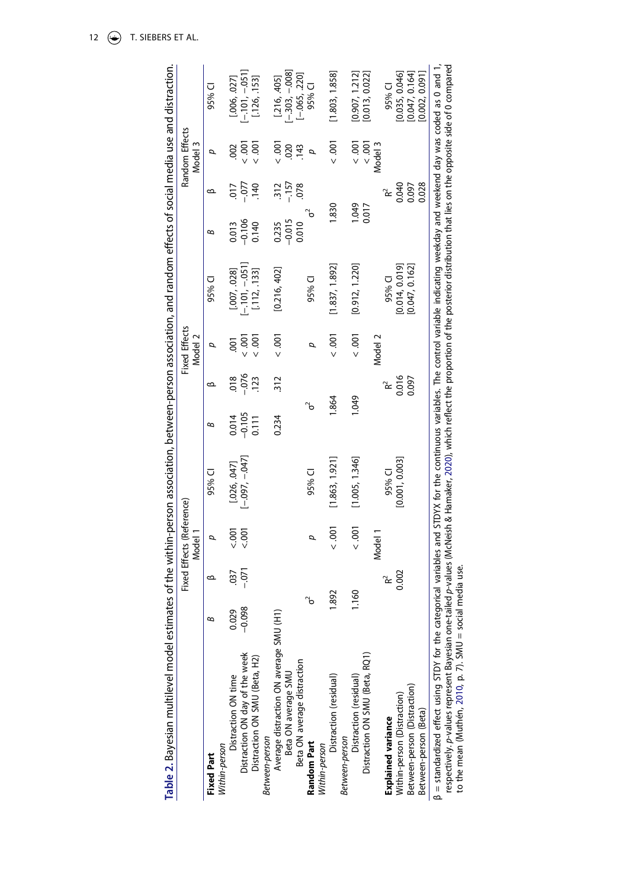<span id="page-11-0"></span>

| ,                                                                                                              |  |
|----------------------------------------------------------------------------------------------------------------|--|
|                                                                                                                |  |
|                                                                                                                |  |
|                                                                                                                |  |
|                                                                                                                |  |
|                                                                                                                |  |
|                                                                                                                |  |
|                                                                                                                |  |
|                                                                                                                |  |
|                                                                                                                |  |
|                                                                                                                |  |
|                                                                                                                |  |
|                                                                                                                |  |
|                                                                                                                |  |
|                                                                                                                |  |
|                                                                                                                |  |
|                                                                                                                |  |
|                                                                                                                |  |
|                                                                                                                |  |
|                                                                                                                |  |
|                                                                                                                |  |
|                                                                                                                |  |
|                                                                                                                |  |
|                                                                                                                |  |
|                                                                                                                |  |
|                                                                                                                |  |
|                                                                                                                |  |
|                                                                                                                |  |
|                                                                                                                |  |
|                                                                                                                |  |
|                                                                                                                |  |
|                                                                                                                |  |
|                                                                                                                |  |
|                                                                                                                |  |
|                                                                                                                |  |
|                                                                                                                |  |
| į                                                                                                              |  |
|                                                                                                                |  |
|                                                                                                                |  |
|                                                                                                                |  |
|                                                                                                                |  |
|                                                                                                                |  |
|                                                                                                                |  |
|                                                                                                                |  |
|                                                                                                                |  |
|                                                                                                                |  |
|                                                                                                                |  |
|                                                                                                                |  |
|                                                                                                                |  |
|                                                                                                                |  |
| and the state of the state of the state of the state of the state of the state of the state of the state of th |  |
|                                                                                                                |  |
|                                                                                                                |  |
|                                                                                                                |  |
|                                                                                                                |  |
| í<br>1                                                                                                         |  |
|                                                                                                                |  |
| )<br>5<br>i                                                                                                    |  |
|                                                                                                                |  |
|                                                                                                                |  |
|                                                                                                                |  |
|                                                                                                                |  |
|                                                                                                                |  |
|                                                                                                                |  |
|                                                                                                                |  |
|                                                                                                                |  |
|                                                                                                                |  |
|                                                                                                                |  |
|                                                                                                                |  |
|                                                                                                                |  |
|                                                                                                                |  |
|                                                                                                                |  |
|                                                                                                                |  |
|                                                                                                                |  |
|                                                                                                                |  |
|                                                                                                                |  |
|                                                                                                                |  |
|                                                                                                                |  |
|                                                                                                                |  |
|                                                                                                                |  |
|                                                                                                                |  |
|                                                                                                                |  |
|                                                                                                                |  |
|                                                                                                                |  |
| l                                                                                                              |  |

|                                                                                                                           |                     |                                                                                                                                                                                                                                                                                                                                    | Fixed Effects (Reference)<br>Model 1 |                                    |          |           | <b>Fixed Effects</b><br>Model 2 |                                                                                                                 |                                              |         | Random Effects<br>Model 3 |                                                             |
|---------------------------------------------------------------------------------------------------------------------------|---------------------|------------------------------------------------------------------------------------------------------------------------------------------------------------------------------------------------------------------------------------------------------------------------------------------------------------------------------------|--------------------------------------|------------------------------------|----------|-----------|---------------------------------|-----------------------------------------------------------------------------------------------------------------|----------------------------------------------|---------|---------------------------|-------------------------------------------------------------|
| <b>Fixed Part</b>                                                                                                         |                     |                                                                                                                                                                                                                                                                                                                                    |                                      | 95% CI                             | В        |           |                                 | 95% CI                                                                                                          | В                                            |         | ≏                         | 95% CI                                                      |
| Nithin-person                                                                                                             |                     |                                                                                                                                                                                                                                                                                                                                    |                                      |                                    |          |           |                                 |                                                                                                                 |                                              |         |                           |                                                             |
| Distraction ON time                                                                                                       | $0.029$<br>$-0.098$ | 037                                                                                                                                                                                                                                                                                                                                | $rac{5}{2001}$                       | $[0.026, 047]$<br>$[-0.097, -047]$ | 0.014    | 018       | $\overline{5}$                  |                                                                                                                 | 0.013                                        | 710     | 002                       |                                                             |
| Distraction ON day of the week                                                                                            |                     | $-0.071$                                                                                                                                                                                                                                                                                                                           |                                      |                                    | $-0.105$ | $-0.076$  | $-0.001$                        | $[007, 028]$<br>$[-101, -051]$                                                                                  | $-0.106$                                     | $-0.77$ | $\overline{00}$           | $[.006, .027]$<br>$[-.101, -.051]$                          |
| Distraction ON SMU (Beta, H2)                                                                                             |                     |                                                                                                                                                                                                                                                                                                                                    |                                      |                                    | 0.111    | 123       | ioo:                            | [.112, .133]                                                                                                    | 0.140                                        | 140     | $\overline{00}$           | [.126, .153]                                                |
| Between-person                                                                                                            |                     |                                                                                                                                                                                                                                                                                                                                    |                                      |                                    |          |           |                                 |                                                                                                                 |                                              |         |                           |                                                             |
| Average distraction ON average SMU (H1)                                                                                   |                     |                                                                                                                                                                                                                                                                                                                                    |                                      |                                    | 0.234    | 312       | < 0.001                         | [0.216, 402]                                                                                                    | 0.235                                        |         |                           |                                                             |
| Beta ON average SMU                                                                                                       |                     |                                                                                                                                                                                                                                                                                                                                    |                                      |                                    |          |           |                                 |                                                                                                                 | $-0.015$                                     | $-157$  | $-0.001$                  | $\begin{bmatrix} .216, .405 \\ [-303, -.008] \end{bmatrix}$ |
| Beta ON average distraction                                                                                               |                     |                                                                                                                                                                                                                                                                                                                                    |                                      |                                    |          |           |                                 |                                                                                                                 | 0.010                                        | 078     | .143                      | $[-.065, .220]$                                             |
| <b>Random Part</b>                                                                                                        | ъ                   |                                                                                                                                                                                                                                                                                                                                    | σ                                    | 95% CI                             | ъ        |           | σ                               | 95% CI                                                                                                          |                                              |         | p                         | 95% CI                                                      |
| Within-person                                                                                                             |                     |                                                                                                                                                                                                                                                                                                                                    |                                      |                                    |          |           |                                 |                                                                                                                 |                                              |         |                           |                                                             |
| Distraction (residual)                                                                                                    | 892                 |                                                                                                                                                                                                                                                                                                                                    | < 0.001                              | [1.863, 1.921]                     | .864     |           | $\frac{100}{2}$                 | [1.837, 1.892]                                                                                                  | .830                                         |         | < 0.001                   | [1.803, 1.858]                                              |
| Between-person                                                                                                            |                     |                                                                                                                                                                                                                                                                                                                                    |                                      |                                    |          |           |                                 |                                                                                                                 |                                              |         |                           |                                                             |
| Distraction (residual)                                                                                                    | 1.160               |                                                                                                                                                                                                                                                                                                                                    | < 0.001                              | [1.005, 1.346]                     | 1.049    |           |                                 | [0.912, 1.220]                                                                                                  | 6701                                         |         | 001                       | 0.907, 1.212]                                               |
| Distraction ON SMU (Beta, RQ1)                                                                                            |                     |                                                                                                                                                                                                                                                                                                                                    |                                      |                                    |          |           |                                 |                                                                                                                 | 0.017                                        |         | < 0.001                   | [0.013, 0.022]                                              |
|                                                                                                                           |                     |                                                                                                                                                                                                                                                                                                                                    | Model 1                              |                                    |          |           | Model 2                         |                                                                                                                 |                                              |         | Vlodel 3                  |                                                             |
| <b>Explained variance</b>                                                                                                 |                     | $R^{2}$<br>0.002                                                                                                                                                                                                                                                                                                                   |                                      | 95% CI                             |          | $R^2$     |                                 | 95% CI                                                                                                          |                                              | š       |                           | 95% CI                                                      |
| Within-person (Distraction)                                                                                               |                     |                                                                                                                                                                                                                                                                                                                                    |                                      | [0.001, 0.003]                     |          | 0.016     |                                 | [0.014, 0.019]                                                                                                  |                                              | 0.040   |                           | [0.035, 0.046]                                              |
| Between-person (Distraction)                                                                                              |                     |                                                                                                                                                                                                                                                                                                                                    |                                      |                                    |          |           |                                 | [0.047, 0.162]                                                                                                  |                                              | 0.097   |                           | [0.047, 0.164]                                              |
| Between-person (Beta)                                                                                                     |                     |                                                                                                                                                                                                                                                                                                                                    |                                      |                                    |          |           |                                 |                                                                                                                 |                                              | 0.028   |                           | [0.002, 0.091]                                              |
| $\mathcal{L}$ and $\mathcal{L}$ and $\mathcal{L}$ and $\mathcal{L}$ and $\mathcal{L}$ and $\mathcal{L}$ and $\mathcal{L}$ |                     | $\overline{a}$ and $\overline{a}$ and $\overline{a}$ and $\overline{a}$ and $\overline{a}$ and $\overline{a}$ and $\overline{a}$ and $\overline{a}$ and $\overline{a}$ and $\overline{a}$ and $\overline{a}$ and $\overline{a}$ and $\overline{a}$ and $\overline{a}$ and $\overline{a}$ and $\overline{a}$ and $\overline{a}$ and |                                      | $\sim$ 1 correction $\sim$         |          | $\vec{r}$ |                                 | and the state of the state of the state of the state of the state of the state of the state of the state of the | The company of the company of the company of |         |                           |                                                             |

<span id="page-11-1"></span>β = standardized effect using STDY for the categorical variables and STDYX for the continuous variables. The control variable indicating weekday and weekend day was coded as 0 and 1,<br>respectively, p-values represent Bayes β = standardized effect using STDY for the categorical variables and STDYX for the continuous variables. The control variable indicating weekday and weekend day was coded as 0 and 1, respectively. *p*-values represent Bayesian one-tailed *p*-values (McNeish & Hamaker, [2020\)](#page-21-12), which reflect the proportion of the posterior distribution that lies on the opposite side of 0 compared to the mean (Muthén, [2010](#page-21-13), p. 7). SMU = social media use.

12  $\left(\bigcirc\right)$  T. SIEBERS ET AL.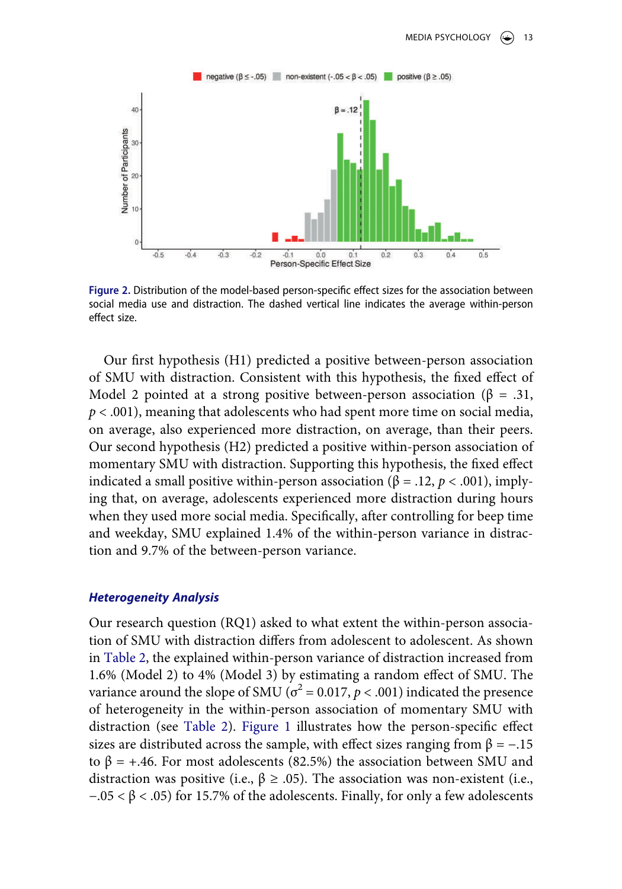<span id="page-12-0"></span>

**Figure 2.** Distribution of the model-based person-specific effect sizes for the association between social media use and distraction. The dashed vertical line indicates the average within-person effect size.

Our first hypothesis (H1) predicted a positive between-person association of SMU with distraction. Consistent with this hypothesis, the fixed effect of Model 2 pointed at a strong positive between-person association ( $\beta = .31$ , *p* < .001), meaning that adolescents who had spent more time on social media, on average, also experienced more distraction, on average, than their peers. Our second hypothesis (H2) predicted a positive within-person association of momentary SMU with distraction. Supporting this hypothesis, the fixed effect indicated a small positive within-person association (β = .12,  $p < .001$ ), implying that, on average, adolescents experienced more distraction during hours when they used more social media. Specifically, after controlling for beep time and weekday, SMU explained 1.4% of the within-person variance in distraction and 9.7% of the between-person variance.

#### *Heterogeneity Analysis*

Our research question (RQ1) asked to what extent the within-person association of SMU with distraction differs from adolescent to adolescent. As shown in [Table 2](#page-11-0), the explained within-person variance of distraction increased from 1.6% (Model 2) to 4% (Model 3) by estimating a random effect of SMU. The variance around the slope of SMU ( $\sigma^2$  = 0.017, *p* < .001) indicated the presence of heterogeneity in the within-person association of momentary SMU with distraction (see [Table 2\)](#page-11-0). [Figure 1](#page-10-0) illustrates how the person-specific effect sizes are distributed across the sample, with effect sizes ranging from  $\beta = -.15$ to  $β = +.46$ . For most adolescents (82.5%) the association between SMU and distraction was positive (i.e., β ≥ .05). The association was non-existent (i.e.,  $-0.05 < \beta < 0.05$ ) for 15.7% of the adolescents. Finally, for only a few adolescents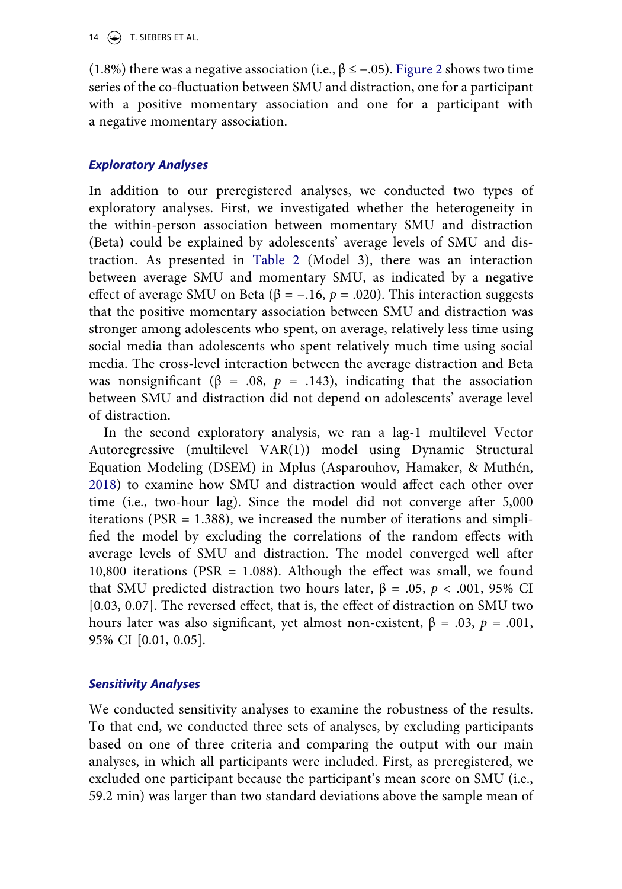14  $\left(\rightarrow\right)$  T. SIEBERS ET AL.

(1.8%) there was a negative association (i.e.,  $\beta \le -.05$ ). [Figure 2](#page-12-0) shows two time series of the co-fluctuation between SMU and distraction, one for a participant with a positive momentary association and one for a participant with a negative momentary association.

# *Exploratory Analyses*

In addition to our preregistered analyses, we conducted two types of exploratory analyses. First, we investigated whether the heterogeneity in the within-person association between momentary SMU and distraction (Beta) could be explained by adolescents' average levels of SMU and distraction. As presented in [Table 2](#page-11-0) (Model 3), there was an interaction between average SMU and momentary SMU, as indicated by a negative effect of average SMU on Beta ( $\beta = -.16$ ,  $p = .020$ ). This interaction suggests that the positive momentary association between SMU and distraction was stronger among adolescents who spent, on average, relatively less time using social media than adolescents who spent relatively much time using social media. The cross-level interaction between the average distraction and Beta was nonsignificant ( $\beta$  = .08,  $p$  = .143), indicating that the association between SMU and distraction did not depend on adolescents' average level of distraction.

<span id="page-13-0"></span>In the second exploratory analysis, we ran a lag-1 multilevel Vector Autoregressive (multilevel VAR(1)) model using Dynamic Structural Equation Modeling (DSEM) in Mplus (Asparouhov, Hamaker, & Muthén, [2018](#page-19-6)) to examine how SMU and distraction would affect each other over time (i.e., two-hour lag). Since the model did not converge after 5,000 iterations (PSR = 1.388), we increased the number of iterations and simplified the model by excluding the correlations of the random effects with average levels of SMU and distraction. The model converged well after 10,800 iterations (PSR = 1.088). Although the effect was small, we found that SMU predicted distraction two hours later,  $β = .05, p < .001, 95%$  CI [0.03, 0.07]. The reversed effect, that is, the effect of distraction on SMU two hours later was also significant, yet almost non-existent, β = .03, *p* = .001, 95% CI [0.01, 0.05].

# *Sensitivity Analyses*

We conducted sensitivity analyses to examine the robustness of the results. To that end, we conducted three sets of analyses, by excluding participants based on one of three criteria and comparing the output with our main analyses, in which all participants were included. First, as preregistered, we excluded one participant because the participant's mean score on SMU (i.e., 59.2 min) was larger than two standard deviations above the sample mean of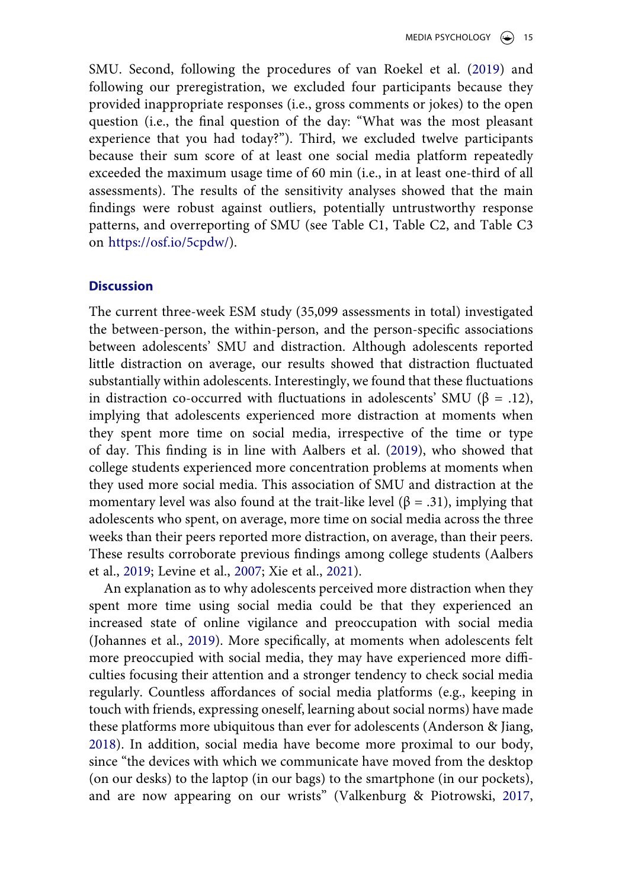SMU. Second, following the procedures of van Roekel et al. ([2019\)](#page-23-8) and following our preregistration, we excluded four participants because they provided inappropriate responses (i.e., gross comments or jokes) to the open question (i.e., the final question of the day: "What was the most pleasant experience that you had today?"). Third, we excluded twelve participants because their sum score of at least one social media platform repeatedly exceeded the maximum usage time of 60 min (i.e., in at least one-third of all assessments). The results of the sensitivity analyses showed that the main findings were robust against outliers, potentially untrustworthy response patterns, and overreporting of SMU (see Table C1, Table C2, and Table C3 on [https://osf.io/5cpdw/\)](https://osf.io/5cpdw/).

### **Discussion**

The current three-week ESM study (35,099 assessments in total) investigated the between-person, the within-person, and the person-specific associations between adolescents' SMU and distraction. Although adolescents reported little distraction on average, our results showed that distraction fluctuated substantially within adolescents. Interestingly, we found that these fluctuations in distraction co-occurred with fluctuations in adolescents' SMU ( $\beta = .12$ ), implying that adolescents experienced more distraction at moments when they spent more time on social media, irrespective of the time or type of day. This finding is in line with Aalbers et al. ([2019\)](#page-19-1), who showed that college students experienced more concentration problems at moments when they used more social media. This association of SMU and distraction at the momentary level was also found at the trait-like level ( $\beta$  = .31), implying that adolescents who spent, on average, more time on social media across the three weeks than their peers reported more distraction, on average, than their peers. These results corroborate previous findings among college students (Aalbers et al., [2019](#page-19-1); Levine et al., [2007;](#page-21-5) Xie et al., [2021\)](#page-23-3).

<span id="page-14-0"></span>An explanation as to why adolescents perceived more distraction when they spent more time using social media could be that they experienced an increased state of online vigilance and preoccupation with social media (Johannes et al., [2019](#page-20-3)). More specifically, at moments when adolescents felt more preoccupied with social media, they may have experienced more difficulties focusing their attention and a stronger tendency to check social media regularly. Countless affordances of social media platforms (e.g., keeping in touch with friends, expressing oneself, learning about social norms) have made these platforms more ubiquitous than ever for adolescents (Anderson & Jiang, [2018](#page-19-0)). In addition, social media have become more proximal to our body, since "the devices with which we communicate have moved from the desktop (on our desks) to the laptop (in our bags) to the smartphone (in our pockets), and are now appearing on our wrists" (Valkenburg & Piotrowski, [2017](#page-23-13),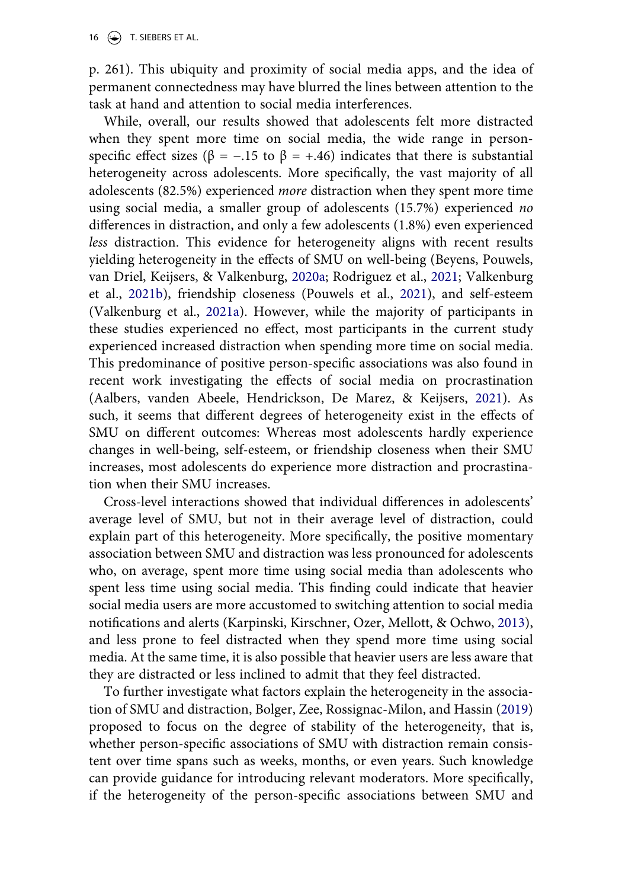16  $\left(\rightarrow\right)$  T. SIEBERS ET AL.

p. 261). This ubiquity and proximity of social media apps, and the idea of permanent connectedness may have blurred the lines between attention to the task at hand and attention to social media interferences.

<span id="page-15-1"></span>While, overall, our results showed that adolescents felt more distracted when they spent more time on social media, the wide range in personspecific effect sizes ( $\beta$  = -.15 to  $\beta$  = +.46) indicates that there is substantial heterogeneity across adolescents. More specifically, the vast majority of all adolescents (82.5%) experienced *more* distraction when they spent more time using social media, a smaller group of adolescents (15.7%) experienced *no*  differences in distraction, and only a few adolescents (1.8%) even experienced *less* distraction. This evidence for heterogeneity aligns with recent results yielding heterogeneity in the effects of SMU on well-being (Beyens, Pouwels, van Driel, Keijsers, & Valkenburg, [2020a;](#page-19-7) Rodriguez et al., [2021](#page-22-5); Valkenburg et al., [2021b](#page-23-9)), friendship closeness (Pouwels et al., [2021](#page-21-9)), and self-esteem (Valkenburg et al., [2021a\)](#page-23-6). However, while the majority of participants in these studies experienced no effect, most participants in the current study experienced increased distraction when spending more time on social media. This predominance of positive person-specific associations was also found in recent work investigating the effects of social media on procrastination (Aalbers, vanden Abeele, Hendrickson, De Marez, & Keijsers, [2021](#page-19-8)). As such, it seems that different degrees of heterogeneity exist in the effects of SMU on different outcomes: Whereas most adolescents hardly experience changes in well-being, self-esteem, or friendship closeness when their SMU increases, most adolescents do experience more distraction and procrastination when their SMU increases.

<span id="page-15-0"></span>Cross-level interactions showed that individual differences in adolescents' average level of SMU, but not in their average level of distraction, could explain part of this heterogeneity. More specifically, the positive momentary association between SMU and distraction was less pronounced for adolescents who, on average, spent more time using social media than adolescents who spent less time using social media. This finding could indicate that heavier social media users are more accustomed to switching attention to social media notifications and alerts (Karpinski, Kirschner, Ozer, Mellott, & Ochwo, [2013](#page-21-14)), and less prone to feel distracted when they spend more time using social media. At the same time, it is also possible that heavier users are less aware that they are distracted or less inclined to admit that they feel distracted.

<span id="page-15-3"></span><span id="page-15-2"></span>To further investigate what factors explain the heterogeneity in the association of SMU and distraction, Bolger, Zee, Rossignac-Milon, and Hassin ([2019](#page-20-13)) proposed to focus on the degree of stability of the heterogeneity, that is, whether person-specific associations of SMU with distraction remain consistent over time spans such as weeks, months, or even years. Such knowledge can provide guidance for introducing relevant moderators. More specifically, if the heterogeneity of the person-specific associations between SMU and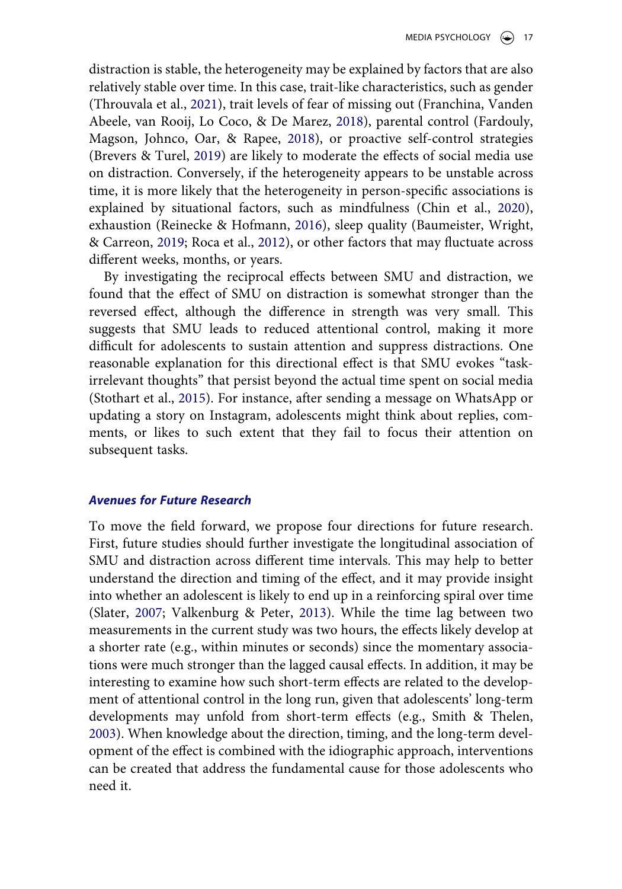<span id="page-16-7"></span><span id="page-16-3"></span><span id="page-16-2"></span><span id="page-16-1"></span>distraction is stable, the heterogeneity may be explained by factors that are also relatively stable over time. In this case, trait-like characteristics, such as gender (Throuvala et al., [2021](#page-23-14)), trait levels of fear of missing out (Franchina, Vanden Abeele, van Rooij, Lo Coco, & De Marez, [2018](#page-20-14)), parental control (Fardouly, Magson, Johnco, Oar, & Rapee, [2018](#page-20-15)), or proactive self-control strategies (Brevers & Turel, [2019](#page-20-16)) are likely to moderate the effects of social media use on distraction. Conversely, if the heterogeneity appears to be unstable across time, it is more likely that the heterogeneity in person-specific associations is explained by situational factors, such as mindfulness (Chin et al., [2020](#page-20-0)), exhaustion (Reinecke & Hofmann, [2016\)](#page-22-12), sleep quality (Baumeister, Wright, & Carreon, [2019](#page-19-9); Roca et al., [2012](#page-22-13)), or other factors that may fluctuate across different weeks, months, or years.

<span id="page-16-4"></span><span id="page-16-0"></span>By investigating the reciprocal effects between SMU and distraction, we found that the effect of SMU on distraction is somewhat stronger than the reversed effect, although the difference in strength was very small. This suggests that SMU leads to reduced attentional control, making it more difficult for adolescents to sustain attention and suppress distractions. One reasonable explanation for this directional effect is that SMU evokes "taskirrelevant thoughts" that persist beyond the actual time spent on social media (Stothart et al., [2015\)](#page-22-0). For instance, after sending a message on WhatsApp or updating a story on Instagram, adolescents might think about replies, comments, or likes to such extent that they fail to focus their attention on subsequent tasks.

# *Avenues for Future Research*

<span id="page-16-6"></span><span id="page-16-5"></span>To move the field forward, we propose four directions for future research. First, future studies should further investigate the longitudinal association of SMU and distraction across different time intervals. This may help to better understand the direction and timing of the effect, and it may provide insight into whether an adolescent is likely to end up in a reinforcing spiral over time (Slater, [2007](#page-22-14); Valkenburg & Peter, [2013\)](#page-23-5). While the time lag between two measurements in the current study was two hours, the effects likely develop at a shorter rate (e.g., within minutes or seconds) since the momentary associations were much stronger than the lagged causal effects. In addition, it may be interesting to examine how such short-term effects are related to the development of attentional control in the long run, given that adolescents' long-term developments may unfold from short-term effects (e.g., Smith & Thelen, [2003](#page-22-15)). When knowledge about the direction, timing, and the long-term development of the effect is combined with the idiographic approach, interventions can be created that address the fundamental cause for those adolescents who need it.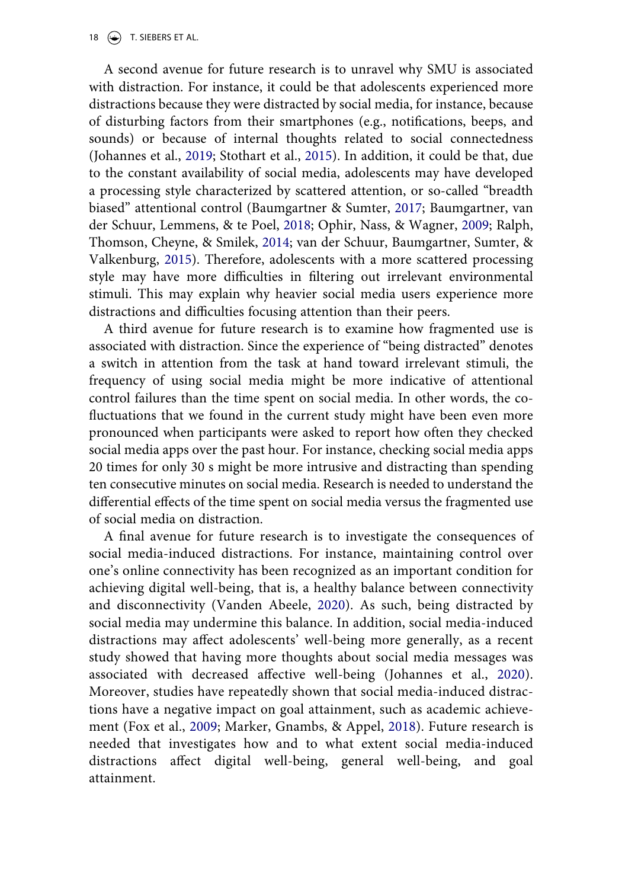18  $\left(\rightarrow\right)$  T. SIEBERS ET AL.

A second avenue for future research is to unravel why SMU is associated with distraction. For instance, it could be that adolescents experienced more distractions because they were distracted by social media, for instance, because of disturbing factors from their smartphones (e.g., notifications, beeps, and sounds) or because of internal thoughts related to social connectedness (Johannes et al., [2019](#page-20-3); Stothart et al., [2015](#page-22-0)). In addition, it could be that, due to the constant availability of social media, adolescents may have developed a processing style characterized by scattered attention, or so-called "breadth biased" attentional control (Baumgartner & Sumter, [2017;](#page-19-10) Baumgartner, van der Schuur, Lemmens, & te Poel, [2018;](#page-19-11) Ophir, Nass, & Wagner, [2009](#page-21-15); Ralph, Thomson, Cheyne, & Smilek, [2014;](#page-22-16) van der Schuur, Baumgartner, Sumter, & Valkenburg, [2015](#page-23-15)). Therefore, adolescents with a more scattered processing style may have more difficulties in filtering out irrelevant environmental stimuli. This may explain why heavier social media users experience more distractions and difficulties focusing attention than their peers.

<span id="page-17-4"></span><span id="page-17-3"></span><span id="page-17-1"></span><span id="page-17-0"></span>A third avenue for future research is to examine how fragmented use is associated with distraction. Since the experience of "being distracted" denotes a switch in attention from the task at hand toward irrelevant stimuli, the frequency of using social media might be more indicative of attentional control failures than the time spent on social media. In other words, the cofluctuations that we found in the current study might have been even more pronounced when participants were asked to report how often they checked social media apps over the past hour. For instance, checking social media apps 20 times for only 30 s might be more intrusive and distracting than spending ten consecutive minutes on social media. Research is needed to understand the differential effects of the time spent on social media versus the fragmented use of social media on distraction.

<span id="page-17-5"></span><span id="page-17-2"></span>A final avenue for future research is to investigate the consequences of social media-induced distractions. For instance, maintaining control over one's online connectivity has been recognized as an important condition for achieving digital well-being, that is, a healthy balance between connectivity and disconnectivity (Vanden Abeele, [2020\)](#page-23-16). As such, being distracted by social media may undermine this balance. In addition, social media-induced distractions may affect adolescents' well-being more generally, as a recent study showed that having more thoughts about social media messages was associated with decreased affective well-being (Johannes et al., [2020](#page-20-6)). Moreover, studies have repeatedly shown that social media-induced distractions have a negative impact on goal attainment, such as academic achievement (Fox et al., [2009](#page-20-4); Marker, Gnambs, & Appel, [2018](#page-21-16)). Future research is needed that investigates how and to what extent social media-induced distractions affect digital well-being, general well-being, and goal attainment.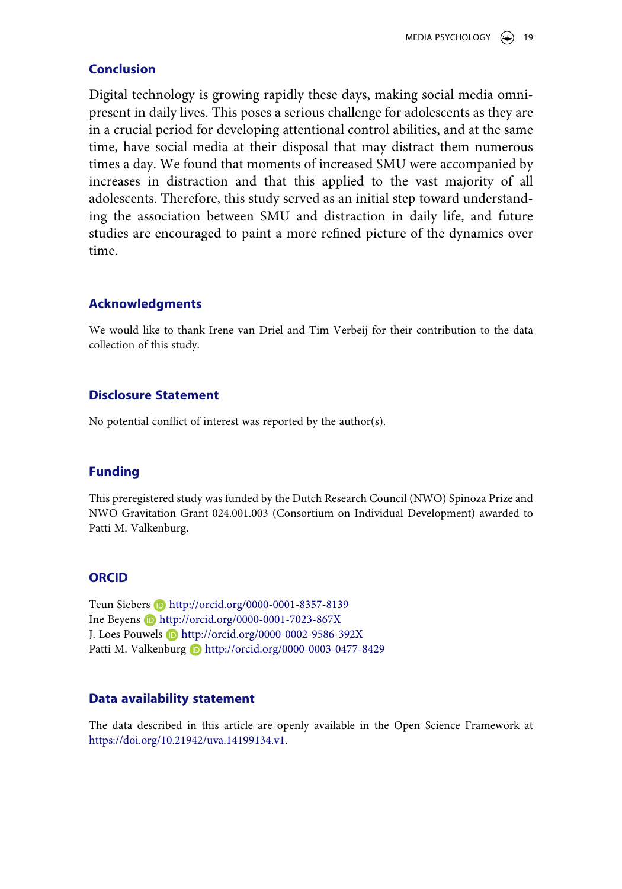# **Conclusion**

Digital technology is growing rapidly these days, making social media omnipresent in daily lives. This poses a serious challenge for adolescents as they are in a crucial period for developing attentional control abilities, and at the same time, have social media at their disposal that may distract them numerous times a day. We found that moments of increased SMU were accompanied by increases in distraction and that this applied to the vast majority of all adolescents. Therefore, this study served as an initial step toward understanding the association between SMU and distraction in daily life, and future studies are encouraged to paint a more refined picture of the dynamics over time.

# **Acknowledgments**

We would like to thank Irene van Driel and Tim Verbeij for their contribution to the data collection of this study.

# **Disclosure Statement**

No potential conflict of interest was reported by the author(s).

# **Funding**

This preregistered study was funded by the Dutch Research Council (NWO) Spinoza Prize and NWO Gravitation Grant 024.001.003 (Consortium on Individual Development) awarded to Patti M. Valkenburg.

# **ORCID**

Teun Siebers **b** http://orcid.org/0000-0001-8357-8139 Ine Beyens **b** http://orcid.org/0000-0001-7023-867X J. Loes Pouwels **D** http://orcid.org/0000-0002-9586-392X Patti M. Valkenburg D http://orcid.org/0000-0003-0477-8429

# **Data availability statement**

The data described in this article are openly available in the Open Science Framework at [https://doi.org/10.21942/uva.14199134.v1.](https://doi.org/10.21942/uva.14199134.v1)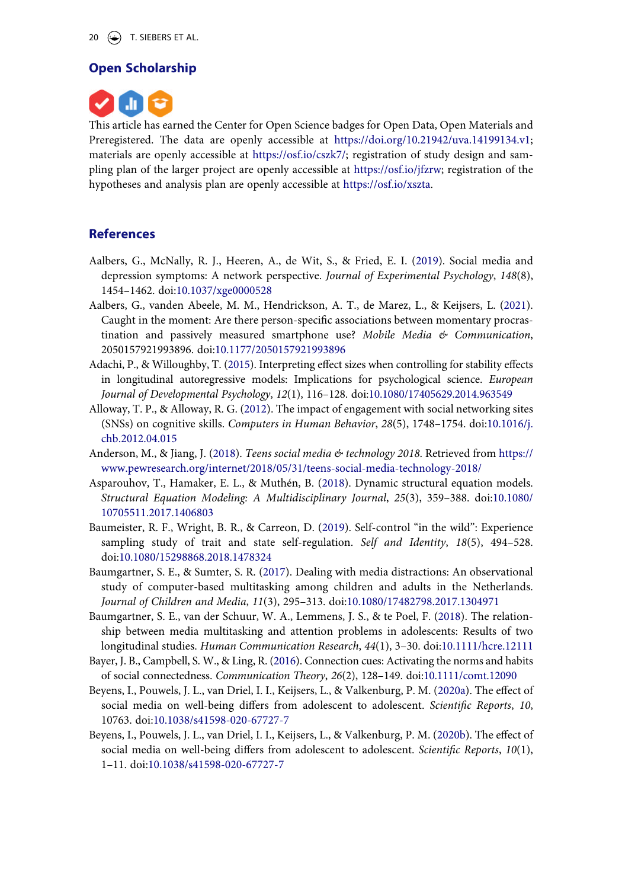# **Open Scholarship**



This article has earned the Center for Open Science badges for Open Data, Open Materials and Preregistered. The data are openly accessible at [https://doi.org/10.21942/uva.14199134.v1;](https://doi.org/10.21942/uva.14199134.v1) materials are openly accessible at <https://osf.io/cszk7/>; registration of study design and sampling plan of the larger project are openly accessible at [https://osf.io/jfzrw;](https://osf.io/jfzrw) registration of the hypotheses and analysis plan are openly accessible at [https://osf.io/xszta.](https://osf.io/xszta)

### **References**

- <span id="page-19-1"></span>Aalbers, G., McNally, R. J., Heeren, A., de Wit, S., & Fried, E. I. ([2019](#page-1-0)). Social media and depression symptoms: A network perspective. *Journal of Experimental Psychology*, *148*(8), 1454–1462. doi:[10.1037/xge0000528](https://doi.org/10.1037/xge0000528)
- <span id="page-19-8"></span>Aalbers, G., vanden Abeele, M. M., Hendrickson, A. T., de Marez, L., & Keijsers, L. [\(2021\)](#page-15-0). Caught in the moment: Are there person-specific associations between momentary procrastination and passively measured smartphone use? *Mobile Media & Communication*, 2050157921993896. doi:[10.1177/2050157921993896](https://doi.org/10.1177/2050157921993896)
- <span id="page-19-5"></span>Adachi, P., & Willoughby, T. ([2015\)](#page-9-1). Interpreting effect sizes when controlling for stability effects in longitudinal autoregressive models: Implications for psychological science. *European Journal of Developmental Psychology*, *12*(1), 116–128. doi:[10.1080/17405629.2014.963549](https://doi.org/10.1080/17405629.2014.963549)
- <span id="page-19-4"></span>Alloway, T. P., & Alloway, R. G. ([2012](#page-4-0)). The impact of engagement with social networking sites (SNSs) on cognitive skills. *Computers in Human Behavior*, *28*(5), 1748–1754. doi:[10.1016/j.](https://doi.org/10.1016/j.chb.2012.04.015) [chb.2012.04.015](https://doi.org/10.1016/j.chb.2012.04.015)
- <span id="page-19-0"></span>Anderson, M., & Jiang, J. ([2018\)](#page-0-0). *Teens social media & technology 2018*. Retrieved from [https://](https://www.pewresearch.org/internet/2018/05/31/teens-social-media-technology-2018/) [www.pewresearch.org/internet/2018/05/31/teens-social-media-technology-2018/](https://www.pewresearch.org/internet/2018/05/31/teens-social-media-technology-2018/)
- <span id="page-19-6"></span>Asparouhov, T., Hamaker, E. L., & Muthén, B. ([2018](#page-13-0)). Dynamic structural equation models. *Structural Equation Modeling: A Multidisciplinary Journal*, *25*(3), 359–388. doi:[10.1080/](https://doi.org/10.1080/10705511.2017.1406803)  [10705511.2017.1406803](https://doi.org/10.1080/10705511.2017.1406803)
- <span id="page-19-9"></span>Baumeister, R. F., Wright, B. R., & Carreon, D. [\(2019](#page-16-0)). Self-control "in the wild": Experience sampling study of trait and state self-regulation. *Self and Identity*, *18*(5), 494–528. doi:[10.1080/15298868.2018.1478324](https://doi.org/10.1080/15298868.2018.1478324)
- <span id="page-19-10"></span>Baumgartner, S. E., & Sumter, S. R. [\(2017](#page-17-0)). Dealing with media distractions: An observational study of computer-based multitasking among children and adults in the Netherlands. *Journal of Children and Media*, *11*(3), 295–313. doi:[10.1080/17482798.2017.1304971](https://doi.org/10.1080/17482798.2017.1304971)
- <span id="page-19-11"></span>Baumgartner, S. E., van der Schuur, W. A., Lemmens, J. S., & te Poel, F. [\(2018](#page-17-1)). The relationship between media multitasking and attention problems in adolescents: Results of two longitudinal studies. *Human Communication Research*, *44*(1), 3–30. doi:[10.1111/hcre.12111](https://doi.org/10.1111/hcre.12111)
- <span id="page-19-3"></span>Bayer, J. B., Campbell, S. W., & Ling, R. ([2016\)](#page-2-0). Connection cues: Activating the norms and habits of social connectedness. *Communication Theory*, *26*(2), 128–149. doi:[10.1111/comt.12090](https://doi.org/10.1111/comt.12090)
- <span id="page-19-7"></span>Beyens, I., Pouwels, J. L., van Driel, I. I., Keijsers, L., & Valkenburg, P. M. ([2020a](#page-15-1)). The effect of social media on well-being differs from adolescent to adolescent. *Scientific Reports*, *10*, 10763. doi:[10.1038/s41598-020-67727-7](https://doi.org/10.1038/s41598-020-67727-7)
- <span id="page-19-2"></span>Beyens, I., Pouwels, J. L., van Driel, I. I., Keijsers, L., & Valkenburg, P. M. [\(2020b](#page-1-1)). The effect of social media on well-being differs from adolescent to adolescent. *Scientific Reports*, *10*(1), 1–11. doi:[10.1038/s41598-020-67727-7](https://doi.org/10.1038/s41598-020-67727-7)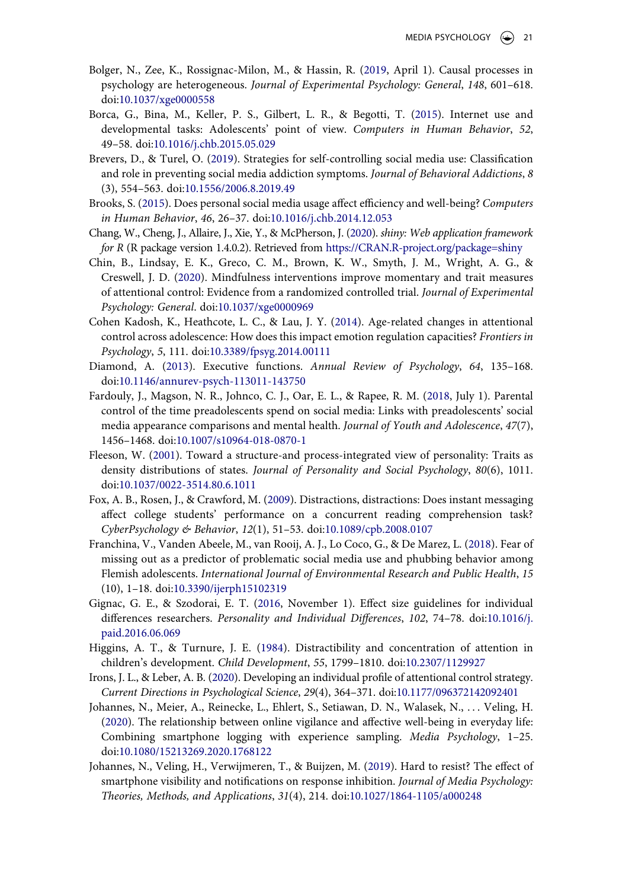- <span id="page-20-13"></span>Bolger, N., Zee, K., Rossignac-Milon, M., & Hassin, R. ([2019](#page-15-2), April 1). Causal processes in psychology are heterogeneous. *Journal of Experimental Psychology: General*, *148*, 601–618. doi:[10.1037/xge0000558](https://doi.org/10.1037/xge0000558)
- <span id="page-20-8"></span>Borca, G., Bina, M., Keller, P. S., Gilbert, L. R., & Begotti, T. [\(2015\)](#page-2-1). Internet use and developmental tasks: Adolescents' point of view. *Computers in Human Behavior*, *52*, 49–58. doi:[10.1016/j.chb.2015.05.029](https://doi.org/10.1016/j.chb.2015.05.029)
- <span id="page-20-16"></span>Brevers, D., & Turel, O. ([2019](#page-16-1)). Strategies for self-controlling social media use: Classification and role in preventing social media addiction symptoms. *Journal of Behavioral Addictions*, *8*  (3), 554–563. doi:[10.1556/2006.8.2019.49](https://doi.org/10.1556/2006.8.2019.49)
- <span id="page-20-5"></span>Brooks, S. [\(2015](#page-1-2)). Does personal social media usage affect efficiency and well-being? *Computers in Human Behavior*, *46*, 26–37. doi:[10.1016/j.chb.2014.12.053](https://doi.org/10.1016/j.chb.2014.12.053)
- <span id="page-20-11"></span>Chang, W., Cheng, J., Allaire, J., Xie, Y., & McPherson, J. ([2020](#page-6-0)). *shiny: Web application framework for R* (R package version 1.4.0.2). Retrieved from <https://CRAN.R-project.org/package=shiny>
- <span id="page-20-0"></span>Chin, B., Lindsay, E. K., Greco, C. M., Brown, K. W., Smyth, J. M., Wright, A. G., & Creswell, J. D. [\(2020\)](#page-0-1). Mindfulness interventions improve momentary and trait measures of attentional control: Evidence from a randomized controlled trial. *Journal of Experimental Psychology: General*. doi:[10.1037/xge0000969](https://doi.org/10.1037/xge0000969)
- <span id="page-20-7"></span>Cohen Kadosh, K., Heathcote, L. C., & Lau, J. Y. [\(2014\)](#page-2-2). Age-related changes in attentional control across adolescence: How does this impact emotion regulation capacities? *Frontiers in Psychology*, *5*, 111. doi:[10.3389/fpsyg.2014.00111](https://doi.org/10.3389/fpsyg.2014.00111)
- <span id="page-20-1"></span>Diamond, A. ([2013\)](#page-0-1). Executive functions. *Annual Review of Psychology*, *64*, 135–168. doi:[10.1146/annurev-psych-113011-143750](https://doi.org/10.1146/annurev-psych-113011-143750)
- <span id="page-20-15"></span>Fardouly, J., Magson, N. R., Johnco, C. J., Oar, E. L., & Rapee, R. M. ([2018](#page-16-2), July 1). Parental control of the time preadolescents spend on social media: Links with preadolescents' social media appearance comparisons and mental health. *Journal of Youth and Adolescence*, *47*(7), 1456–1468. doi:[10.1007/s10964-018-0870-1](https://doi.org/10.1007/s10964-018-0870-1)
- <span id="page-20-9"></span>Fleeson, W. ([2001](#page-2-3)). Toward a structure-and process-integrated view of personality: Traits as density distributions of states. *Journal of Personality and Social Psychology*, *80*(6), 1011. doi:[10.1037/0022-3514.80.6.1011](https://doi.org/10.1037/0022-3514.80.6.1011)
- <span id="page-20-4"></span>Fox, A. B., Rosen, J., & Crawford, M. ([2009](#page-1-3)). Distractions, distractions: Does instant messaging affect college students' performance on a concurrent reading comprehension task? *CyberPsychology & Behavior*, *12*(1), 51–53. doi:[10.1089/cpb.2008.0107](https://doi.org/10.1089/cpb.2008.0107)
- <span id="page-20-14"></span>Franchina, V., Vanden Abeele, M., van Rooij, A. J., Lo Coco, G., & De Marez, L. ([2018\)](#page-16-3). Fear of missing out as a predictor of problematic social media use and phubbing behavior among Flemish adolescents. *International Journal of Environmental Research and Public Health*, *15*  (10), 1–18. doi:[10.3390/ijerph15102319](https://doi.org/10.3390/ijerph15102319)
- <span id="page-20-12"></span>Gignac, G. E., & Szodorai, E. T. ([2016](#page-9-2), November 1). Effect size guidelines for individual differences researchers. *Personality and Individual Differences*, *102*, 74–78. doi:[10.1016/j.](https://doi.org/10.1016/j.paid.2016.06.069) [paid.2016.06.069](https://doi.org/10.1016/j.paid.2016.06.069)
- <span id="page-20-2"></span>Higgins, A. T., & Turnure, J. E. [\(1984](#page-0-2)). Distractibility and concentration of attention in children's development. *Child Development*, *55*, 1799–1810. doi:[10.2307/1129927](https://doi.org/10.2307/1129927)
- <span id="page-20-10"></span>Irons, J. L., & Leber, A. B. ([2020\)](#page-4-1). Developing an individual profile of attentional control strategy. *Current Directions in Psychological Science*, *29*(4), 364–371. doi:[10.1177/096372142092401](https://doi.org/10.1177/096372142092401)
- <span id="page-20-6"></span>Johannes, N., Meier, A., Reinecke, L., Ehlert, S., Setiawan, D. N., Walasek, N., . . . Veling, H. [\(2020\)](#page-1-2). The relationship between online vigilance and affective well-being in everyday life: Combining smartphone logging with experience sampling. *Media Psychology*, 1–25. doi:[10.1080/15213269.2020.1768122](https://doi.org/10.1080/15213269.2020.1768122)
- <span id="page-20-3"></span>Johannes, N., Veling, H., Verwijmeren, T., & Buijzen, M. [\(2019](#page-1-4)). Hard to resist? The effect of smartphone visibility and notifications on response inhibition. *Journal of Media Psychology: Theories, Methods, and Applications*, *31*(4), 214. doi:[10.1027/1864-1105/a000248](https://doi.org/10.1027/1864-1105/a000248)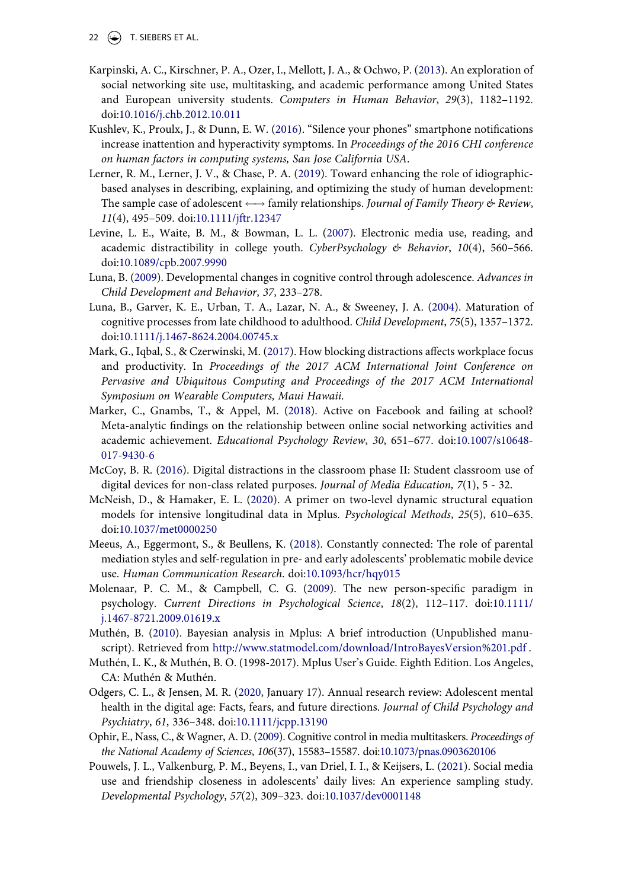- 22  $\left(\rightarrow\right)$  T. SIEBERS ET AL.
- <span id="page-21-14"></span>Karpinski, A. C., Kirschner, P. A., Ozer, I., Mellott, J. A., & Ochwo, P. [\(2013](#page-15-3)). An exploration of social networking site use, multitasking, and academic performance among United States and European university students. *Computers in Human Behavior*, *29*(3), 1182–1192. doi:[10.1016/j.chb.2012.10.011](https://doi.org/10.1016/j.chb.2012.10.011)
- <span id="page-21-2"></span>Kushlev, K., Proulx, J., & Dunn, E. W. [\(2016](#page-1-4)). "Silence your phones" smartphone notifications increase inattention and hyperactivity symptoms. In *Proceedings of the 2016 CHI conference on human factors in computing systems, San Jose California USA*.
- <span id="page-21-8"></span>Lerner, R. M., Lerner, J. V., & Chase, P. A. ([2019\)](#page-3-0). Toward enhancing the role of idiographicbased analyses in describing, explaining, and optimizing the study of human development: The sample case of adolescent  $\longleftrightarrow$  family relationships. *Journal of Family Theory & Review*, *11*(4), 495–509. doi:[10.1111/jftr.12347](https://doi.org/10.1111/jftr.12347)
- <span id="page-21-5"></span>Levine, L. E., Waite, B. M., & Bowman, L. L. ([2007\)](#page-1-0). Electronic media use, reading, and academic distractibility in college youth. *CyberPsychology & Behavior*, *10*(4), 560–566. doi:[10.1089/cpb.2007.9990](https://doi.org/10.1089/cpb.2007.9990)
- <span id="page-21-0"></span>Luna, B. ([2009](#page-0-2)). Developmental changes in cognitive control through adolescence. *Advances in Child Development and Behavior*, *37*, 233–278.
- <span id="page-21-1"></span>Luna, B., Garver, K. E., Urban, T. A., Lazar, N. A., & Sweeney, J. A. [\(2004](#page-0-2)). Maturation of cognitive processes from late childhood to adulthood. *Child Development*, *75*(5), 1357–1372. doi:[10.1111/j.1467-8624.2004.00745.x](https://doi.org/10.1111/j.1467-8624.2004.00745.x)
- <span id="page-21-4"></span>Mark, G., Iqbal, S., & Czerwinski, M. ([2017\)](#page-1-5). How blocking distractions affects workplace focus and productivity. In *Proceedings of the 2017 ACM International Joint Conference on Pervasive and Ubiquitous Computing and Proceedings of the 2017 ACM International Symposium on Wearable Computers, Maui Hawaii*.
- <span id="page-21-16"></span>Marker, C., Gnambs, T., & Appel, M. ([2018\)](#page-17-2). Active on Facebook and failing at school? Meta-analytic findings on the relationship between online social networking activities and academic achievement. *Educational Psychology Review*, *30*, 651–677. doi:[10.1007/s10648-](https://doi.org/10.1007/s10648-017-9430-6)  [017-9430-6](https://doi.org/10.1007/s10648-017-9430-6)
- <span id="page-21-3"></span>McCoy, B. R. ([2016\)](#page-1-3). Digital distractions in the classroom phase II: Student classroom use of digital devices for non-class related purposes. *Journal of Media Education, 7*(1), 5 - 32.
- <span id="page-21-12"></span>McNeish, D., & Hamaker, E. L. [\(2020](#page-8-0)). A primer on two-level dynamic structural equation models for intensive longitudinal data in Mplus. *Psychological Methods*, *25*(5), 610–635. doi:[10.1037/met0000250](https://doi.org/10.1037/met0000250)
- <span id="page-21-7"></span>Meeus, A., Eggermont, S., & Beullens, K. ([2018](#page-2-4)). Constantly connected: The role of parental mediation styles and self-regulation in pre- and early adolescents' problematic mobile device use. *Human Communication Research*. doi:[10.1093/hcr/hqy015](https://doi.org/10.1093/hcr/hqy015)
- <span id="page-21-10"></span>Molenaar, P. C. M., & Campbell, C. G. ([2009](#page-6-1)). The new person-specific paradigm in psychology. *Current Directions in Psychological Science*, *18*(2), 112–117. doi:[10.1111/](https://doi.org/10.1111/j.1467-8721.2009.01619.x) [j.1467-8721.2009.01619.x](https://doi.org/10.1111/j.1467-8721.2009.01619.x)
- <span id="page-21-13"></span>Muthén, B. ([2010](#page-11-1)). Bayesian analysis in Mplus: A brief introduction (Unpublished manuscript). Retrieved from <http://www.statmodel.com/download/IntroBayesVersion%201.pdf> .
- <span id="page-21-11"></span>Muthén, L. K., & Muthén, B. O. (1998-2017). Mplus User's Guide. Eighth Edition. Los Angeles, CA: Muthén & Muthén.
- <span id="page-21-6"></span>Odgers, C. L., & Jensen, M. R. [\(2020](#page-1-1), January 17). Annual research review: Adolescent mental health in the digital age: Facts, fears, and future directions. *Journal of Child Psychology and Psychiatry*, *61*, 336–348. doi:[10.1111/jcpp.13190](https://doi.org/10.1111/jcpp.13190)
- <span id="page-21-15"></span>Ophir, E., Nass, C., & Wagner, A. D. ([2009](#page-17-1)). Cognitive control in media multitaskers. *Proceedings of the National Academy of Sciences*, *106*(37), 15583–15587. doi:[10.1073/pnas.0903620106](https://doi.org/10.1073/pnas.0903620106)
- <span id="page-21-9"></span>Pouwels, J. L., Valkenburg, P. M., Beyens, I., van Driel, I. I., & Keijsers, L. ([2021\)](#page-4-2). Social media use and friendship closeness in adolescents' daily lives: An experience sampling study. *Developmental Psychology*, *57*(2), 309–323. doi:[10.1037/dev0001148](https://doi.org/10.1037/dev0001148)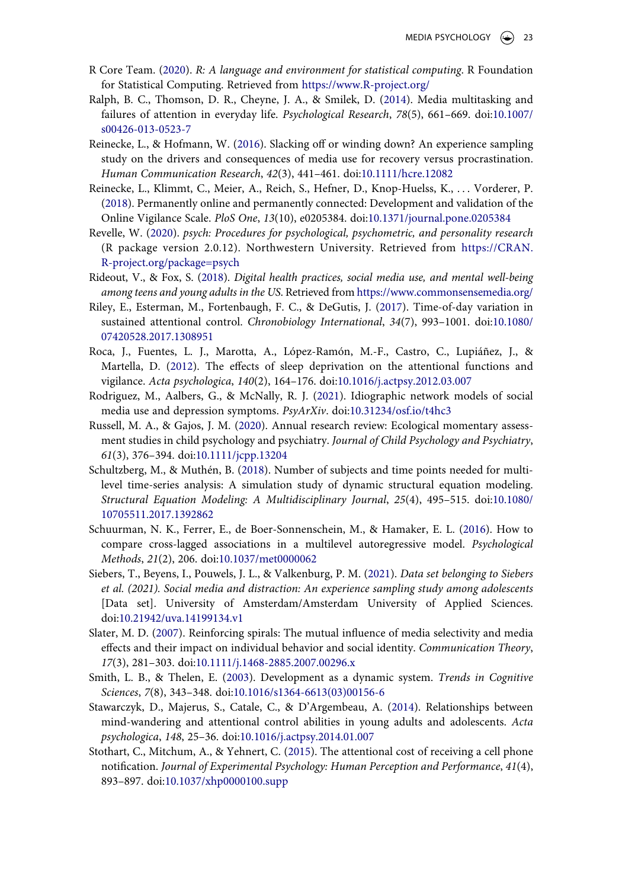- <span id="page-22-8"></span>R Core Team. [\(2020](#page-8-1)). *R: A language and environment for statistical computing*. R Foundation for Statistical Computing. Retrieved from <https://www.R-project.org/>
- <span id="page-22-16"></span>Ralph, B. C., Thomson, D. R., Cheyne, J. A., & Smilek, D. ([2014](#page-17-3)). Media multitasking and failures of attention in everyday life. *Psychological Research*, *78*(5), 661–669. doi:[10.1007/](https://doi.org/10.1007/s00426-013-0523-7) [s00426-013-0523-7](https://doi.org/10.1007/s00426-013-0523-7)
- <span id="page-22-12"></span>Reinecke, L., & Hofmann, W. [\(2016\)](#page-16-4). Slacking off or winding down? An experience sampling study on the drivers and consequences of media use for recovery versus procrastination. *Human Communication Research*, *42*(3), 441–461. doi:[10.1111/hcre.12082](https://doi.org/10.1111/hcre.12082)
- <span id="page-22-3"></span>Reinecke, L., Klimmt, C., Meier, A., Reich, S., Hefner, D., Knop-Huelss, K., . . . Vorderer, P. [\(2018\)](#page-2-5). Permanently online and permanently connected: Development and validation of the Online Vigilance Scale. *PloS One*, *13*(10), e0205384. doi:[10.1371/journal.pone.0205384](https://doi.org/10.1371/journal.pone.0205384)
- <span id="page-22-9"></span>Revelle, W. ([2020](#page-8-1)). *psych: Procedures for psychological, psychometric, and personality research*  (R package version 2.0.12). Northwestern University. Retrieved from [https://CRAN.](https://CRAN.R-project.org/package=psych) [R-project.org/package=psych](https://CRAN.R-project.org/package=psych)
- <span id="page-22-6"></span>Rideout, V., & Fox, S. [\(2018](#page-4-3)). *Digital health practices, social media use, and mental well-being among teens and young adults in the US*. Retrieved from<https://www.commonsensemedia.org/>
- <span id="page-22-1"></span>Riley, E., Esterman, M., Fortenbaugh, F. C., & DeGutis, J. ([2017\)](#page-1-6). Time-of-day variation in sustained attentional control. *Chronobiology International*, *34*(7), 993–1001. doi:[10.1080/](https://doi.org/10.1080/07420528.2017.1308951) [07420528.2017.1308951](https://doi.org/10.1080/07420528.2017.1308951)
- <span id="page-22-13"></span>Roca, J., Fuentes, L. J., Marotta, A., López-Ramón, M.-F., Castro, C., Lupiáñez, J., & Martella, D. [\(2012](#page-16-0)). The effects of sleep deprivation on the attentional functions and vigilance. *Acta psychologica*, *140*(2), 164–176. doi:[10.1016/j.actpsy.2012.03.007](https://doi.org/10.1016/j.actpsy.2012.03.007)
- <span id="page-22-5"></span>Rodriguez, M., Aalbers, G., & McNally, R. J. ([2021](#page-4-2)). Idiographic network models of social media use and depression symptoms. *PsyArXiv*. doi:[10.31234/osf.io/t4hc3](https://doi.org/10.31234/osf.io/t4hc3)
- <span id="page-22-4"></span>Russell, M. A., & Gajos, J. M. [\(2020\)](#page-3-0). Annual research review: Ecological momentary assessment studies in child psychology and psychiatry. *Journal of Child Psychology and Psychiatry*, *61*(3), 376–394. doi:[10.1111/jcpp.13204](https://doi.org/10.1111/jcpp.13204)
- <span id="page-22-10"></span>Schultzberg, M., & Muthén, B. ([2018](#page-9-3)). Number of subjects and time points needed for multilevel time-series analysis: A simulation study of dynamic structural equation modeling. *Structural Equation Modeling: A Multidisciplinary Journal*, *25*(4), 495–515. doi:[10.1080/](https://doi.org/10.1080/10705511.2017.1392862)  [10705511.2017.1392862](https://doi.org/10.1080/10705511.2017.1392862)
- <span id="page-22-7"></span>Schuurman, N. K., Ferrer, E., de Boer-Sonnenschein, M., & Hamaker, E. L. [\(2016\)](#page-8-2). How to compare cross-lagged associations in a multilevel autoregressive model. *Psychological Methods*, *21*(2), 206. doi:[10.1037/met0000062](https://doi.org/10.1037/met0000062)
- <span id="page-22-11"></span>Siebers, T., Beyens, I., Pouwels, J. L., & Valkenburg, P. M. [\(2021](#page-9-4)). *Data set belonging to Siebers et al. (2021). Social media and distraction: An experience sampling study among adolescents*  [Data set]. University of Amsterdam/Amsterdam University of Applied Sciences. doi:[10.21942/uva.14199134.v1](https://doi.org/10.21942/uva.14199134.v1)
- <span id="page-22-14"></span>Slater, M. D. [\(2007\)](#page-16-5). Reinforcing spirals: The mutual influence of media selectivity and media effects and their impact on individual behavior and social identity. *Communication Theory*, *17*(3), 281–303. doi:[10.1111/j.1468-2885.2007.00296.x](https://doi.org/10.1111/j.1468-2885.2007.00296.x)
- <span id="page-22-15"></span>Smith, L. B., & Thelen, E. ([2003\)](#page-16-6). Development as a dynamic system. *Trends in Cognitive Sciences*, *7*(8), 343–348. doi:[10.1016/s1364-6613\(03\)00156-6](https://doi.org/10.1016/s1364-6613(03)00156-6)
- <span id="page-22-2"></span>Stawarczyk, D., Majerus, S., Catale, C., & D'Argembeau, A. [\(2014\)](#page-2-6). Relationships between mind-wandering and attentional control abilities in young adults and adolescents. *Acta psychologica*, *148*, 25–36. doi:[10.1016/j.actpsy.2014.01.007](https://doi.org/10.1016/j.actpsy.2014.01.007)
- <span id="page-22-0"></span>Stothart, C., Mitchum, A., & Yehnert, C. [\(2015\)](#page-1-7). The attentional cost of receiving a cell phone notification. *Journal of Experimental Psychology: Human Perception and Performance*, *41*(4), 893–897. doi:[10.1037/xhp0000100.supp](https://doi.org/10.1037/xhp0000100.supp)